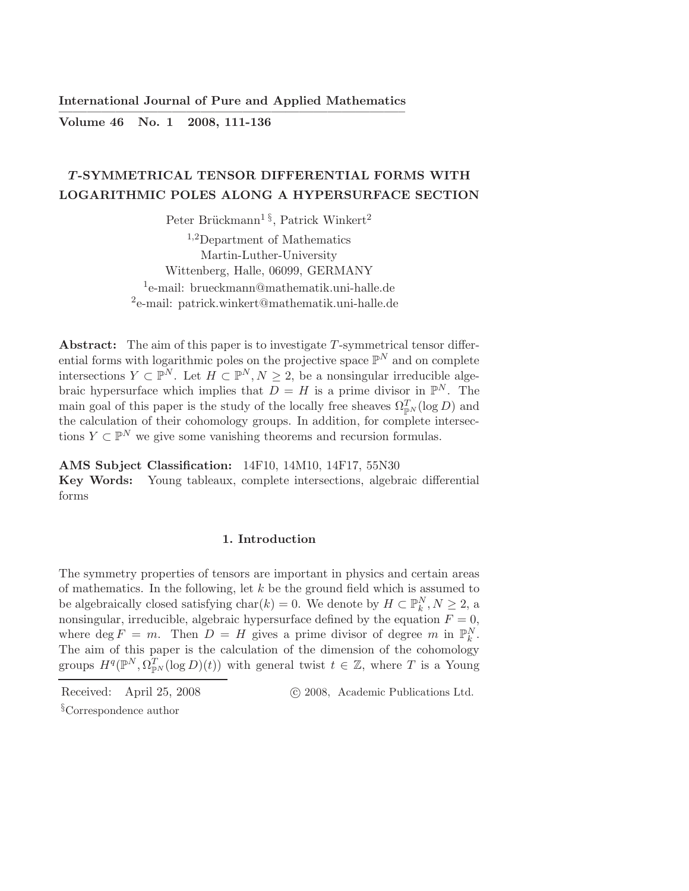International Journal of Pure and Applied Mathematics ————————————————————————–

Volume 46 No. 1 2008, 111-136

# T -SYMMETRICAL TENSOR DIFFERENTIAL FORMS WITH LOGARITHMIC POLES ALONG A HYPERSURFACE SECTION

Peter Brückmann<sup>1§</sup>, Patrick Winkert<sup>2</sup>

<sup>1</sup>,2Department of Mathematics Martin-Luther-University Wittenberg, Halle, 06099, GERMANY 1 e-mail: brueckmann@mathematik.uni-halle.de 2 e-mail: patrick.winkert@mathematik.uni-halle.de

Abstract: The aim of this paper is to investigate T-symmetrical tensor differential forms with logarithmic poles on the projective space  $\mathbb{P}^N$  and on complete intersections  $Y \subset \mathbb{P}^N$ . Let  $H \subset \mathbb{P}^N, N \geq 2$ , be a nonsingular irreducible algebraic hypersurface which implies that  $D = H$  is a prime divisor in  $\mathbb{P}^N$ . The main goal of this paper is the study of the locally free sheaves  $\Omega_{\mathbb{P}^N}^T(\log D)$  and the calculation of their cohomology groups. In addition, for complete intersections  $Y \subset \mathbb{P}^N$  we give some vanishing theorems and recursion formulas.

AMS Subject Classification: 14F10, 14M10, 14F17, 55N30

Key Words: Young tableaux, complete intersections, algebraic differential forms

### 1. Introduction

The symmetry properties of tensors are important in physics and certain areas of mathematics. In the following, let  $k$  be the ground field which is assumed to be algebraically closed satisfying  $char(k) = 0$ . We denote by  $H \subset \mathbb{P}_k^N, N \geq 2$ , a nonsingular, irreducible, algebraic hypersurface defined by the equation  $F = 0$ , where  $\deg F = m$ . Then  $D = H$  gives a prime divisor of degree m in  $\mathbb{P}_k^N$ . The aim of this paper is the calculation of the dimension of the cohomology groups  $H^q(\mathbb{P}^N, \Omega_{\mathbb{P}^N}^T(\log D)(t))$  with general twist  $t \in \mathbb{Z}$ , where T is a Young

Received: April 25, 2008 c 2008, Academic Publications Ltd.

<sup>§</sup>Correspondence author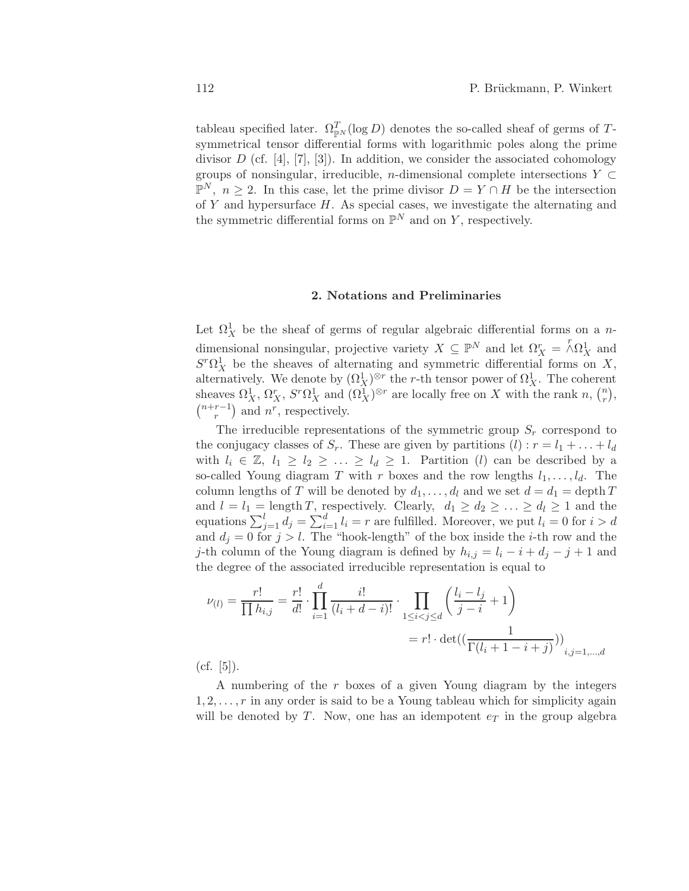tableau specified later.  $\Omega_{\mathbb{P}^N}^T(\log D)$  denotes the so-called sheaf of germs of Tsymmetrical tensor differential forms with logarithmic poles along the prime divisor  $D$  (cf. [4], [7], [3]). In addition, we consider the associated cohomology groups of nonsingular, irreducible, *n*-dimensional complete intersections  $Y \subset$  $\mathbb{P}^N$ ,  $n \geq 2$ . In this case, let the prime divisor  $D = Y \cap H$  be the intersection of  $Y$  and hypersurface  $H$ . As special cases, we investigate the alternating and the symmetric differential forms on  $\mathbb{P}^N$  and on Y, respectively.

# 2. Notations and Preliminaries

Let  $\Omega^1_X$  be the sheaf of germs of regular algebraic differential forms on a ndimensional nonsingular, projective variety  $X \subseteq \mathbb{P}^N$  and let  $\Omega_X^r = \Lambda \Omega_X^1$  and  $S<sup>r</sup> \Omega_X^1$  be the sheaves of alternating and symmetric differential forms on X, alternatively. We denote by  $(\Omega_X^1)^{\otimes r}$  the *r*-th tensor power of  $\Omega_X^1$ . The coherent sheaves  $\Omega^1_X$ ,  $\Omega^r_X$ ,  $S^r \Omega^1_X$  and  $(\Omega^1_X)^{\otimes r}$  are locally free on X with the rank n,  $\binom{n}{r}$  $\binom{n}{r},$  $(n+r-1)$  $r-1$ ) and  $n^r$ , respectively.

The irreducible representations of the symmetric group  $S_r$  correspond to the conjugacy classes of  $S_r$ . These are given by partitions  $(l) : r = l_1 + \ldots + l_d$ with  $l_i \in \mathbb{Z}, l_1 \geq l_2 \geq \ldots \geq l_d \geq 1$ . Partition (*l*) can be described by a so-called Young diagram T with r boxes and the row lengths  $l_1, \ldots, l_d$ . The column lengths of T will be denoted by  $d_1, \ldots, d_l$  and we set  $d = d_1 = \text{depth } T$ and  $l = l_1 = \text{length } T$ , respectively. Clearly,  $d_1 \geq d_2 \geq \ldots \geq d_l \geq 1$  and the equations  $\sum_{j=1}^{l} d_j = \sum_{i=1}^{d} l_i = r$  are fulfilled. Moreover, we put  $l_i = 0$  for  $i > d$ and  $d_j = 0$  for  $j > l$ . The "hook-length" of the box inside the *i*-th row and the j-th column of the Young diagram is defined by  $h_{i,j} = l_i - i + d_j - j + 1$  and the degree of the associated irreducible representation is equal to

$$
\nu_{(l)} = \frac{r!}{\prod h_{i,j}} = \frac{r!}{d!} \cdot \prod_{i=1}^d \frac{i!}{(l_i + d - i)!} \cdot \prod_{1 \le i < j \le d} \left( \frac{l_i - l_j}{j - i} + 1 \right) \\
= r! \cdot \det((\frac{1}{\Gamma(l_i + 1 - i + j)}))_{i,j=1,\dots,d}
$$

 $(cf. [5]).$ 

A numbering of the r boxes of a given Young diagram by the integers  $1, 2, \ldots, r$  in any order is said to be a Young tableau which for simplicity again will be denoted by T. Now, one has an idempotent  $e_T$  in the group algebra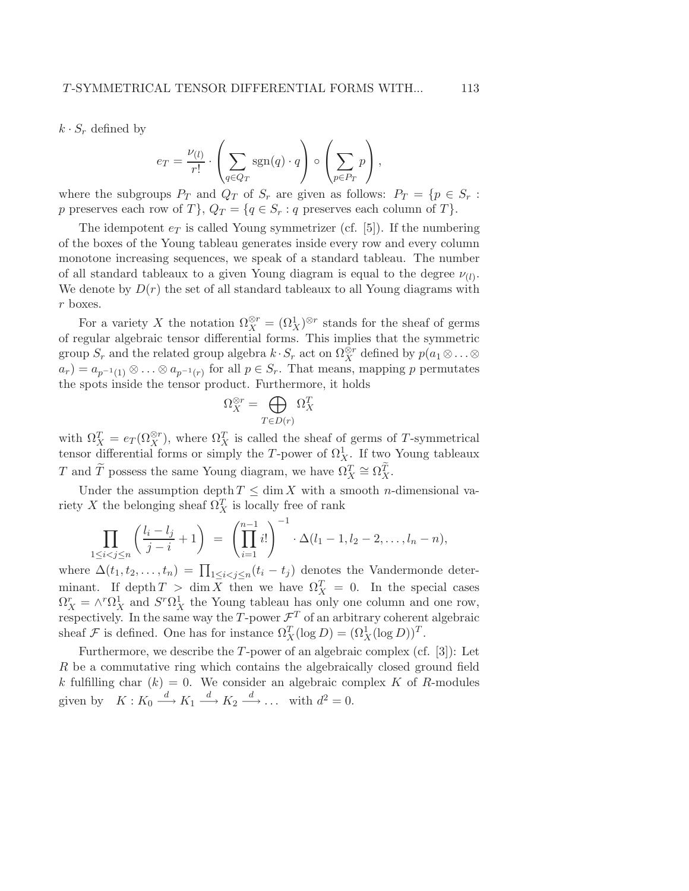$k \cdot S_r$  defined by

$$
e_T = \frac{\nu_{(l)}}{r!} \cdot \left( \sum_{q \in Q_T} \text{sgn}(q) \cdot q \right) \circ \left( \sum_{p \in P_T} p \right),
$$

where the subgroups  $P_T$  and  $Q_T$  of  $S_r$  are given as follows:  $P_T = \{p \in S_r :$ p preserves each row of T,  $Q_T = \{q \in S_r : q \text{ preserves each column of } T\}.$ 

The idempotent  $e_T$  is called Young symmetrizer (cf. [5]). If the numbering of the boxes of the Young tableau generates inside every row and every column monotone increasing sequences, we speak of a standard tableau. The number of all standard tableaux to a given Young diagram is equal to the degree  $\nu_{(l)}$ . We denote by  $D(r)$  the set of all standard tableaux to all Young diagrams with r boxes.

For a variety X the notation  $\Omega_X^{\otimes r} = (\Omega_X^1)^{\otimes r}$  stands for the sheaf of germs of regular algebraic tensor differential forms. This implies that the symmetric group  $S_r$  and the related group algebra  $k \cdot S_r$  act on  $\Omega_X^{\otimes r}$  defined by  $p(a_1 \otimes \ldots \otimes$  $a_r$ ) =  $a_{p^{-1}(1)} \otimes \ldots \otimes a_{p^{-1}(r)}$  for all  $p \in S_r$ . That means, mapping p permutates the spots inside the tensor product. Furthermore, it holds

$$
\Omega_X^{\otimes r} = \bigoplus_{T \in D(r)} \Omega_X^T
$$

with  $\Omega_X^T = e_T(\Omega_X^{\otimes r})$ , where  $\Omega_X^T$  is called the sheaf of germs of T-symmetrical tensor differential forms or simply the T-power of  $\Omega_X^1$ . If two Young tableaux T and  $\widetilde{T}$  possess the same Young diagram, we have  $\Omega_X^T \cong \Omega_X^T$ .

Under the assumption depth  $T \leq \dim X$  with a smooth *n*-dimensional variety X the belonging sheaf  $\Omega_X^T$  is locally free of rank

$$
\prod_{1 \leq i < j \leq n} \left( \frac{l_i - l_j}{j - i} + 1 \right) = \left( \prod_{i=1}^{n-1} i! \right)^{-1} \cdot \Delta(l_1 - 1, l_2 - 2, \dots, l_n - n),
$$

where  $\Delta(t_1, t_2, \ldots, t_n) = \prod_{1 \leq i < j \leq n} (t_i - t_j)$  denotes the Vandermonde determinant. If depth  $T > \dim X$  then we have  $\Omega_X^T = 0$ . In the special cases  $\Omega_X^r = \wedge^r \Omega_X^1$  and  $S^r \Omega_X^1$  the Young tableau has only one column and one row, respectively. In the same way the T-power  $\mathcal{F}^T$  of an arbitrary coherent algebraic sheaf  $\mathcal F$  is defined. One has for instance  $\Omega_X^T(\log D) = (\Omega_X^1(\log D))^T$ .

Furthermore, we describe the  $T$ -power of an algebraic complex (cf. [3]): Let R be a commutative ring which contains the algebraically closed ground field k fulfilling char  $(k) = 0$ . We consider an algebraic complex K of R-modules given by  $K: K_0 \xrightarrow{d} K_1 \xrightarrow{d} K_2 \xrightarrow{d} \dots$  with  $d^2 = 0$ .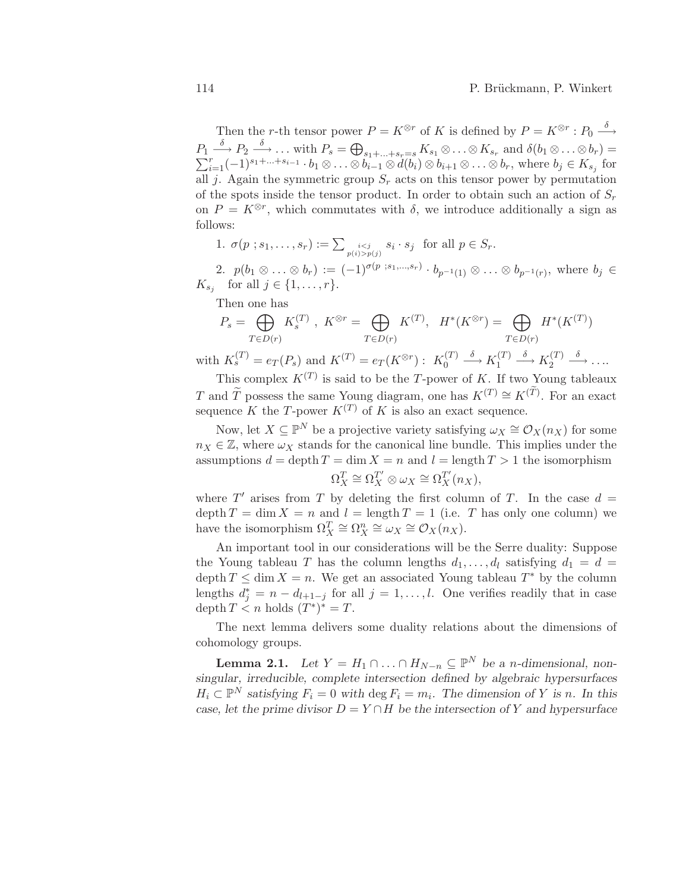Then the *r*-th tensor power  $P = K^{\otimes r}$  of K is defined by  $P = K^{\otimes r} : P_0 \stackrel{\delta}{\longrightarrow}$  $P_1 \stackrel{\delta}{\longrightarrow} P_2 \stackrel{\delta}{\longrightarrow} \dots$  with  $P_s = \bigoplus_{s_1 + \dots + s_r = s} K_{s_1} \otimes \dots \otimes K_{s_r}$  and  $\delta(b_1 \otimes \dots \otimes b_r) = \sum_{i=1}^r (-1)^{s_1 + \dots + s_{i-1}} \cdot b_1 \otimes \dots \otimes b_{i-1} \otimes d(b_i) \otimes b_{i+1} \otimes \dots \otimes b_r$ , where  $b_j \in K_{s_j}$  for all j. Again the symmetric group  $S_r$  acts on this tensor power by permutation of the spots inside the tensor product. In order to obtain such an action of  $S_r$ on  $P = K^{\otimes r}$ , which commutates with  $\delta$ , we introduce additionally a sign as follows:

1. 
$$
\sigma(p \, ; s_1, \ldots, s_r) := \sum_{\substack{i < j \\ p(i) > p(j)}} s_i \cdot s_j \quad \text{for all } p \in S_r.
$$

2.  $p(b_1 \otimes \ldots \otimes b_r) := (-1)^{\sigma(p \; ; s_1, \ldots, s_r)} \cdot b_{p^{-1}(1)} \otimes \ldots \otimes b_{p^{-1}(r)},$  where  $b_j \in$  $K_{s_j}$  for all  $j \in \{1, \ldots, r\}.$ 

Then one has

$$
P_s = \bigoplus_{T \in D(r)} K_s^{(T)}, \quad K^{\otimes r} = \bigoplus_{T \in D(r)} K^{(T)}, \quad H^*(K^{\otimes r}) = \bigoplus_{T \in D(r)} H^*(K^{(T)})
$$
  
with  $K_s^{(T)} = e_T(P_s)$  and  $K^{(T)} = e_T(K^{\otimes r}) : \quad K_0^{(T)} \xrightarrow{\delta} K_1^{(T)} \xrightarrow{\delta} K_2^{(T)} \xrightarrow{\delta} \dots$ 

This complex  $K^{(T)}$  is said to be the T-power of K. If two Young tableaux T and  $\widetilde{T}$  possess the same Young diagram, one has  $K^{(T)} \cong K^{(\widetilde{T})}$ . For an exact sequence K the T-power  $K^{(T)}$  of K is also an exact sequence.

Now, let  $X \subseteq \mathbb{P}^N$  be a projective variety satisfying  $\omega_X \cong \mathcal{O}_X(n_X)$  for some  $n_X \in \mathbb{Z}$ , where  $\omega_X$  stands for the canonical line bundle. This implies under the assumptions  $d = \operatorname{depth} T = \dim X = n$  and  $l = \operatorname{length} T > 1$  the isomorphism  $\Omega_X^T \cong \Omega_X^{T'} \otimes \omega_X \cong \Omega_X^{T'}(n_X),$ 

where  $T'$  arises from T by deleting the first column of T. In the case  $d =$ depth  $T = \dim X = n$  and  $l = \text{length } T = 1$  (i.e. T has only one column) we have the isomorphism  $\Omega_X^T \cong \Omega_X^n \cong \omega_X \cong \mathcal{O}_X(n_X)$ .

An important tool in our considerations will be the Serre duality: Suppose the Young tableau T has the column lengths  $d_1, \ldots, d_l$  satisfying  $d_1 = d$ depth  $T \leq \dim X = n$ . We get an associated Young tableau  $T^*$  by the column lengths  $d_j^* = n - d_{l+1-j}$  for all  $j = 1, ..., l$ . One verifies readily that in case depth  $T \leq n$  holds  $(T^*)^* = T$ .

The next lemma delivers some duality relations about the dimensions of cohomology groups.

**Lemma 2.1.** Let  $Y = H_1 \cap ... \cap H_{N-n} \subseteq \mathbb{P}^N$  be a *n*-dimensional, non*singular, irreducible, complete intersection defined by algebraic hypersurfaces*  $H_i \subset \mathbb{P}^N$  satisfying  $F_i = 0$  with  $\deg F_i = m_i$ . The dimension of Y is n. In this *case, let the prime divisor*  $D = Y \cap H$  *be the intersection of* Y *and hypersurface*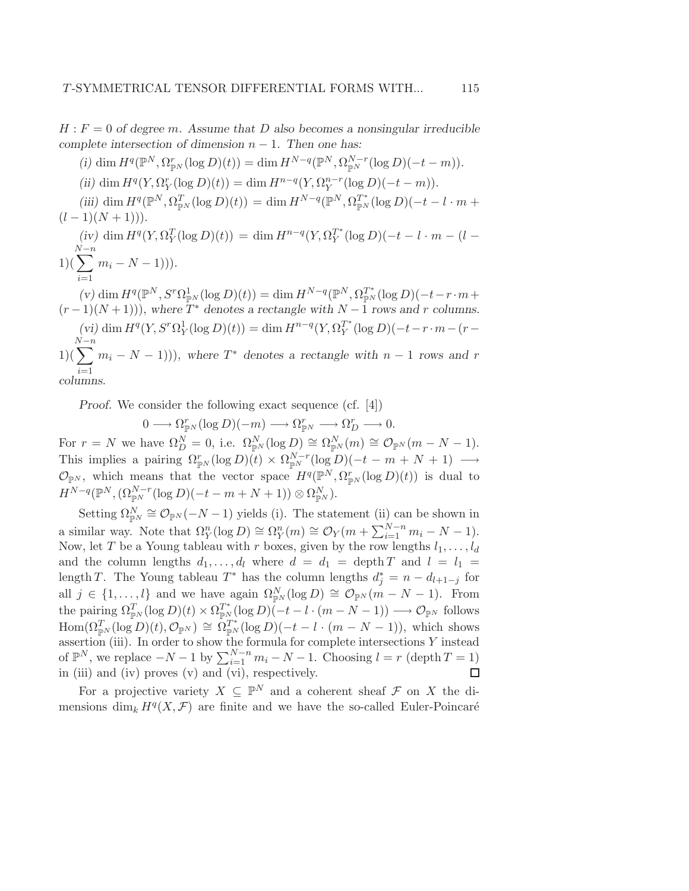$H : F = 0$  of degree m. Assume that D also becomes a nonsingular irreducible *complete intersection of dimension* n − 1*. Then one has:*

(i) dim  $H^q(\mathbb{P}^N, \Omega_{\mathbb{P}^N}^r(\log D)(t)) = \dim H^{N-q}(\mathbb{P}^N, \Omega_{\mathbb{P}^N}^{N-r}(\log D)(-t-m)).$ 

(*ii*) dim  $H^q(Y, \Omega_Y^r(\log D)(t)) = \dim H^{n-q}(Y, \Omega_Y^{n-r}(\log D)(-t-m)).$ 

 $(iii)$  dim  $H^q(\mathbb{P}^N, \Omega_{\mathbb{P}^N}^T(\log D)(t)) = \dim H^{N-q}(\mathbb{P}^N, \Omega_{\mathbb{P}^N}^{T^*}(\log D)(-t - l \cdot m + t))$  $(l-1)(N+1))$ .

 $(iv)$  dim  $H^q(Y, \Omega_Y^T(\log D)(t)) = \dim H^{n-q}(Y, \Omega_Y^{T^*})$  $Y^T (log D)(-t - l \cdot m - (l -$ 1)( N X−n  $i=1$  $m_i - N - 1$ )).

 $(v)$  dim  $H^q(\mathbb{P}^N, S^r \Omega_{\mathbb{P}^N}^1(\log D)(t)) = \dim H^{N-q}(\mathbb{P}^N, \Omega_{\mathbb{P}^N}^{T^*}(\log D)(-t-r \cdot m +$  $(r-1)(N+1)$ , where  $T^*$  denotes a rectangle with  $N-1$  rows and r columns.  $(vi)$  dim  $H^q(Y, S^r \Omega_Y^1(\log D)(t)) = \dim H^{n-q}(Y, \Omega_Y^{T^*})$  $Y^{T^*}(\log D)(-t-r\cdot m-(r-p))$  $\sum_{n=1}^{N-n}$ N  $i=1$  $(m_i - N - 1)$ ), where  $T^*$  denotes a rectangle with  $n - 1$  rows and r *columns.*

*Proof.* We consider the following exact sequence (cf. [4])

 $0 \longrightarrow \Omega_{\mathbb{P}^N}^r(\log D)(-m) \longrightarrow \Omega_{\mathbb{P}^N}^r \longrightarrow \Omega_D^r \longrightarrow 0.$ For  $r = N$  we have  $\Omega_D^N = 0$ , i.e.  $\Omega_{\mathbb{P}^N}^N(\log D) \cong \Omega_{\mathbb{P}^N}^N(m) \cong \mathcal{O}_{\mathbb{P}^N}(m - N - 1)$ . This implies a pairing  $\Omega_{\mathbb{P}^N}^r(\log D)(t) \times \Omega_{\mathbb{P}^N}^{N-r}(\log D)(-t - m + N + 1) \longrightarrow$  $\mathcal{O}_{\mathbb{P}^N}$ , which means that the vector space  $H^q(\mathbb{P}^N, \Omega^r_{\mathbb{P}^N}(\log D)(t))$  is dual to  $H^{N-q}(\mathbb{P}^N,(\Omega_{\mathbb{P}^N}^{N-r}(\log D)(-t-m+N+1))\otimes \Omega_{\mathbb{P}^N}^N).$ 

Setting  $\Omega_{\mathbb{P}^N}^N \cong \mathcal{O}_{\mathbb{P}^N}(-N-1)$  yields (i). The statement (ii) can be shown in a similar way. Note that  $\Omega_Y^n(\log D) \cong \Omega_Y^n(m) \cong \mathcal{O}_Y(m + \sum_{i=1}^{N-n} m_i - N - 1).$ Now, let T be a Young tableau with r boxes, given by the row lengths  $l_1, \ldots, l_d$ and the column lengths  $d_1, \ldots, d_l$  where  $d = d_1$  = depth T and  $l = l_1$  = length T. The Young tableau  $T^*$  has the column lengths  $d_j^* = n - d_{l+1-j}$  for all  $j \in \{1, ..., l\}$  and we have again  $\Omega_{\mathbb{P}^N}^N(\log D) \cong \mathcal{O}_{\mathbb{P}^N}(m-N-1)$ . From the pairing  $\Omega_{\mathbb{P}^N}^T(\log D)(t) \times \Omega_{\mathbb{P}^N}^{T^*}(\log D)(-t - l \cdot (m - N - 1)) \longrightarrow \mathcal{O}_{\mathbb{P}^N}$  follows  $\text{Hom}(\Omega_{\mathbb{P}^N}^T(\log D)(t), \mathcal{O}_{\mathbb{P}^N}) \cong \Omega_{\mathbb{P}^N}^{T^*}(\log D)(-t - l \cdot (m - N - 1)),$  which shows assertion (iii). In order to show the formula for complete intersections Y instead of  $\mathbb{P}^N$ , we replace  $-N-1$  by  $\sum_{i=1}^{N-n} m_i - N - 1$ . Choosing  $l = r$  (depth  $T = 1$ ) in (iii) and (iv) proves (v) and (vi), respectively.  $\Box$ 

For a projective variety  $X \subseteq \mathbb{P}^N$  and a coherent sheaf  $\mathcal F$  on X the dimensions  $\dim_k H^q(X, \mathcal{F})$  are finite and we have the so-called Euler-Poincaré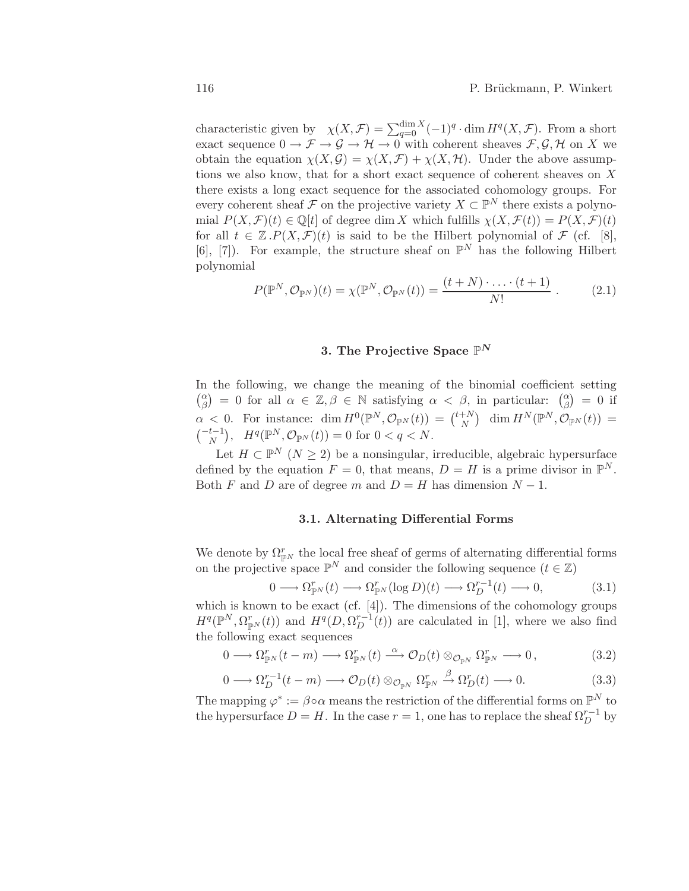characteristic given by  $\chi(X, \mathcal{F}) = \sum_{q=0}^{\dim X} (-1)^q \cdot \dim H^q(X, \mathcal{F})$ . From a short exact sequence  $0 \to \mathcal{F} \to \mathcal{G} \to \mathcal{H} \to 0$  with coherent sheaves  $\mathcal{F}, \mathcal{G}, \mathcal{H}$  on X we obtain the equation  $\chi(X, \mathcal{G}) = \chi(X, \mathcal{F}) + \chi(X, \mathcal{H})$ . Under the above assumptions we also know, that for a short exact sequence of coherent sheaves on  $X$ there exists a long exact sequence for the associated cohomology groups. For every coherent sheaf  $\mathcal F$  on the projective variety  $X \subset \mathbb P^N$  there exists a polynomial  $P(X, \mathcal{F})(t) \in \mathbb{Q}[t]$  of degree dim X which fulfills  $\chi(X, \mathcal{F}(t)) = P(X, \mathcal{F})(t)$ for all  $t \in \mathbb{Z} \cdot P(X, \mathcal{F})(t)$  is said to be the Hilbert polynomial of  $\mathcal{F}$  (cf. [8], [6], [7]). For example, the structure sheaf on  $\mathbb{P}^N$  has the following Hilbert polynomial

$$
P(\mathbb{P}^N, \mathcal{O}_{\mathbb{P}^N})(t) = \chi(\mathbb{P}^N, \mathcal{O}_{\mathbb{P}^N}(t)) = \frac{(t+N)\cdot \ldots \cdot (t+1)}{N!} \ . \tag{2.1}
$$

# 3. The Projective Space  $\mathbb{P}^N$

In the following, we change the meaning of the binomial coefficient setting  $\int_{0}^{\alpha}$  $\begin{array}{c} \alpha \\ \beta \end{array}$  = 0 for all  $\alpha \in \mathbb{Z}, \beta \in \mathbb{N}$  satisfying  $\alpha < \beta$ , in particular:  $\begin{pmatrix} \alpha \\ \beta \end{pmatrix}$  $\binom{\alpha}{\beta}$  = 0 if  $\alpha$  < 0. For instance: dim  $H^0(\mathbb{P}^N, \mathcal{O}_{\mathbb{P}^N}(t)) = \binom{t+N}{N}$  $\lim_{N} H^{N}(\mathbb{P}^{N},\mathcal{O}_{\mathbb{P}^{N}}(t)) =$  $\binom{-t-1}{N}, H^q(\mathbb{P}^N, \mathcal{O}_{\mathbb{P}^N}(t)) = 0$  for  $0 < q < N$ .

Let  $H \subset \mathbb{P}^N$   $(N \geq 2)$  be a nonsingular, irreducible, algebraic hypersurface defined by the equation  $F = 0$ , that means,  $D = H$  is a prime divisor in  $\mathbb{P}^N$ . Both F and D are of degree m and  $D = H$  has dimension  $N - 1$ .

#### 3.1. Alternating Differential Forms

We denote by  $\Omega_{\mathbb{P}^N}^r$  the local free sheaf of germs of alternating differential forms on the projective space  $\mathbb{P}^N$  and consider the following sequence  $(t \in \mathbb{Z})$ 

$$
0 \longrightarrow \Omega_{\mathbb{P}^N}^r(t) \longrightarrow \Omega_{\mathbb{P}^N}^r(\log D)(t) \longrightarrow \Omega_D^{r-1}(t) \longrightarrow 0,
$$
\n(3.1)

which is known to be exact (cf. [4]). The dimensions of the cohomology groups  $H^q(\mathbb{P}^N, \Omega_{\mathbb{P}^N}^r(t))$  and  $H^q(D, \Omega_D^{r-1}(t))$  are calculated in [1], where we also find the following exact sequences

$$
0 \longrightarrow \Omega_{\mathbb{P}^N}^r(t-m) \longrightarrow \Omega_{\mathbb{P}^N}^r(t) \stackrel{\alpha}{\longrightarrow} \mathcal{O}_D(t) \otimes_{\mathcal{O}_{\mathbb{P}^N}} \Omega_{\mathbb{P}^N}^r \longrightarrow 0,
$$
\n(3.2)

$$
0 \longrightarrow \Omega_D^{r-1}(t-m) \longrightarrow \mathcal{O}_D(t) \otimes_{\mathcal{O}_{\mathbb{P}^N}} \Omega_{\mathbb{P}^N}^r \stackrel{\beta}{\longrightarrow} \Omega_D^r(t) \longrightarrow 0. \tag{3.3}
$$

The mapping  $\varphi^* := \beta \circ \alpha$  means the restriction of the differential forms on  $\mathbb{P}^N$  to the hypersurface  $D = H$ . In the case  $r = 1$ , one has to replace the sheaf  $\Omega_D^{r-1}$  by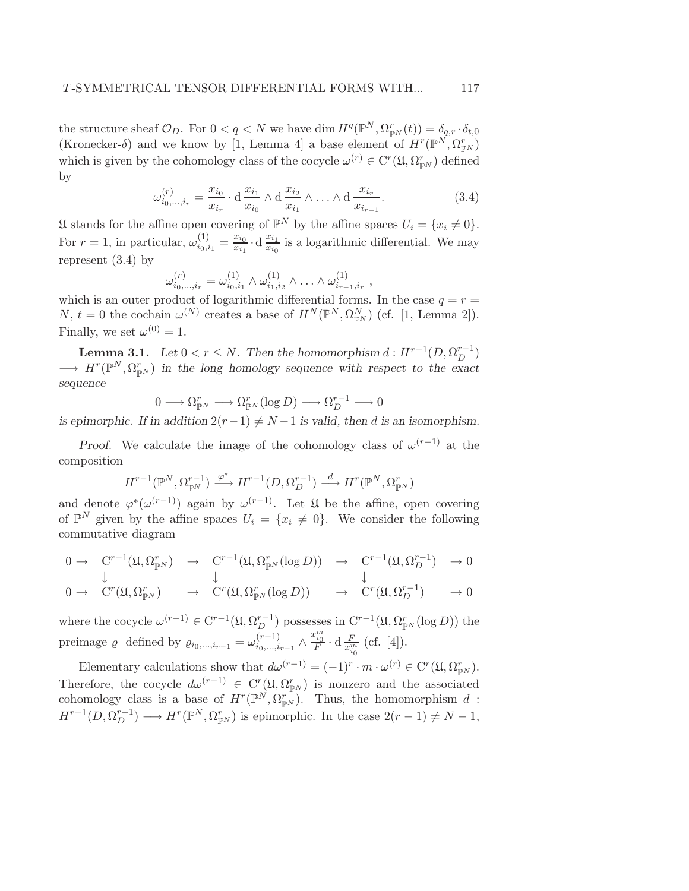the structure sheaf  $\mathcal{O}_D$ . For  $0 < q < N$  we have dim  $H^q(\mathbb{P}^N, \Omega^r_{\mathbb{P}^N}(t)) = \delta_{q,r} \cdot \delta_{t,0}$ (Kronecker- $\delta$ ) and we know by [1, Lemma 4] a base element of  $H^r(\mathbb{P}^N, \Omega^r_{\mathbb{P}^N})$ which is given by the cohomology class of the cocycle  $\omega^{(r)} \in C^r(\mathfrak{U}, \Omega_{\mathbb{P}^N}^r)$  defined by

$$
\omega_{i_0,\dots,i_r}^{(r)} = \frac{x_{i_0}}{x_{i_r}} \cdot d \frac{x_{i_1}}{x_{i_0}} \wedge d \frac{x_{i_2}}{x_{i_1}} \wedge \dots \wedge d \frac{x_{i_r}}{x_{i_{r-1}}}.
$$
\n(3.4)

U stands for the affine open covering of  $\mathbb{P}^N$  by the affine spaces  $U_i = \{x_i \neq 0\}.$ For  $r=1$ , in particular,  $\omega_{i_0,i_1}^{(1)}$  $\frac{1}{i_0, i_1} = \frac{x_{i_0}}{x_{i_1}}$  $\frac{x_{i_0}}{x_{i_1}} \cdot d \frac{x_{i_1}}{x_{i_0}}$  $\frac{x_{i_1}}{x_{i_0}}$  is a logarithmic differential. We may represent (3.4) by

$$
\omega_{i_0,\dots,i_r}^{(r)} = \omega_{i_0,i_1}^{(1)} \wedge \omega_{i_1,i_2}^{(1)} \wedge \dots \wedge \omega_{i_{r-1},i_r}^{(1)},
$$

which is an outer product of logarithmic differential forms. In the case  $q = r =$ N,  $t = 0$  the cochain  $\omega^{(N)}$  creates a base of  $H^N(\mathbb{P}^N, \Omega_{\mathbb{P}^N}^N)$  (cf. [1, Lemma 2]). Finally, we set  $\omega^{(0)} = 1$ .

**Lemma 3.1.** *Let*  $0 < r \leq N$ . Then the homomorphism  $d : H^{r-1}(D, \Omega_D^{r-1})$  $\longrightarrow H^r(\mathbb{P}^N, \Omega_{\mathbb{P}^N}^r)$  in the long homology sequence with respect to the exact *sequence*

$$
0\longrightarrow \Omega^r_{{\mathbb P}^N}\longrightarrow \Omega^r_{{\mathbb P}^N}(\log D)\longrightarrow \Omega^{r-1}_D\longrightarrow 0
$$

*is epimorphic. If in addition*  $2(r-1) \neq N-1$  *is valid, then d is an isomorphism.* 

*Proof.* We calculate the image of the cohomology class of  $\omega^{(r-1)}$  at the composition

$$
H^{r-1}(\mathbb{P}^N, \Omega_{\mathbb{P}^N}^{r-1}) \xrightarrow{\varphi^*} H^{r-1}(D, \Omega_D^{r-1}) \xrightarrow{d} H^r(\mathbb{P}^N, \Omega_{\mathbb{P}^N}^r)
$$

and denote  $\varphi^*(\omega^{(r-1)})$  again by  $\omega^{(r-1)}$ . Let  $\mathfrak U$  be the affine, open covering of  $\mathbb{P}^N$  given by the affine spaces  $U_i = \{x_i \neq 0\}$ . We consider the following commutative diagram

$$
0 \to C^{r-1}(\mathfrak{U}, \Omega_{\mathbb{P}^N}^r) \to C^{r-1}(\mathfrak{U}, \Omega_{\mathbb{P}^N}^r(\log D)) \to C^{r-1}(\mathfrak{U}, \Omega_D^{r-1}) \to 0
$$
  
\n
$$
\downarrow \qquad \qquad \downarrow
$$
  
\n
$$
0 \to C^{r}(\mathfrak{U}, \Omega_{\mathbb{P}^N}^r) \to C^{r}(\mathfrak{U}, \Omega_{\mathbb{P}^r}^r(\log D)) \to C^{r}(\mathfrak{U}, \Omega_{\mathbb{P}^r}^{r-1}) \to 0
$$

$$
0 \to \quad C^r(\mathfrak{U}, \Omega^r_{\mathbb{P}^N}) \qquad \to \quad C^r(\mathfrak{U}, \Omega^r_{\mathbb{P}^N}(\log D)) \qquad \to \quad C^r(\mathfrak{U}, \Omega^{r-1}_D) \qquad \to 0
$$

where the cocycle  $\omega^{(r-1)} \in C^{r-1}(\mathfrak{U}, \Omega_D^{r-1})$  possesses in  $C^{r-1}(\mathfrak{U}, \Omega_{\mathbb{P}^N}^r(\log D))$  the preimage  $\varrho$  defined by  $\varrho_{i_0,...,i_{r-1}} = \omega_{i_0,...,i_r}^{(r-1)}$  $\sum_{i_0,\dots,i_{r-1}}^{(r-1)} \wedge \frac{x_{i_0}^m}{F} \cdot d \frac{F}{x_{i_0}^m}$  (cf. [4]).

Elementary calculations show that  $d\omega^{(r-1)} = (-1)^r \cdot m \cdot \omega^{(r)} \in \mathrm{C}^r(\mathfrak{U}, \Omega_{\mathbb{P}^N}^r)$ . Therefore, the cocycle  $d\omega^{(r-1)} \in C^r(\mathfrak{U}, \Omega_{\mathbb{P}^N}^r)$  is nonzero and the associated cohomology class is a base of  $H^r(\mathbb{P}^N, \Omega_{\mathbb{P}^N}^{r})$ . Thus, the homomorphism d:  $H^{r-1}(D, \Omega_D^{r-1}) \longrightarrow H^r(\mathbb{P}^N, \Omega_{\mathbb{P}^N}^r)$  is epimorphic. In the case  $2(r-1) \neq N-1$ ,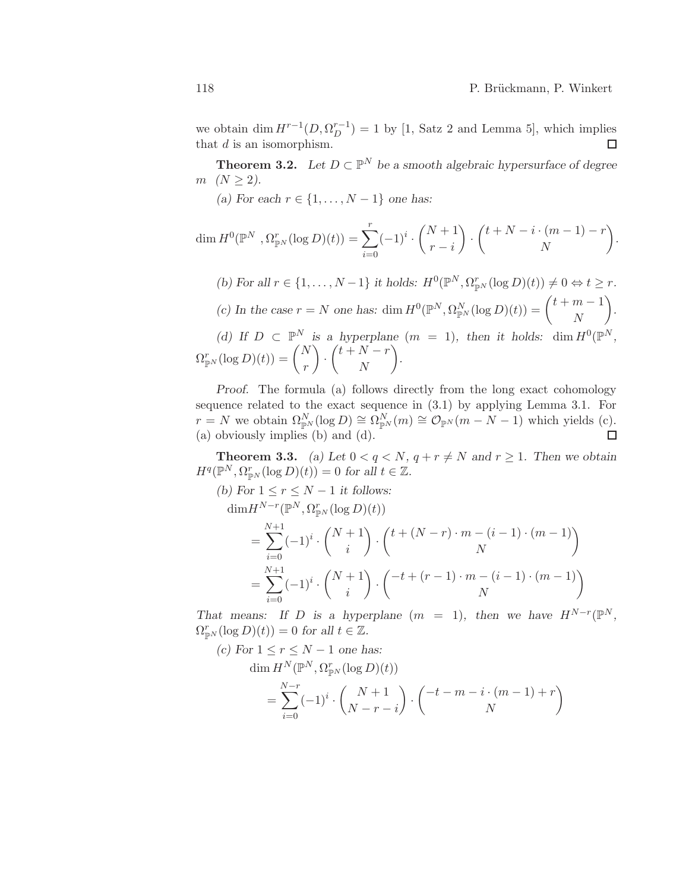we obtain  $\dim H^{r-1}(D, \Omega_D^{r-1}) = 1$  by [1, Satz 2 and Lemma 5], which implies that  $d$  is an isomorphism.  $\Box$ 

**Theorem 3.2.** Let  $D \subset \mathbb{P}^N$  be a smooth algebraic hypersurface of degree *m*  $(N \ge 2)$ .

*(a)* For each  $r \in \{1, ..., N - 1\}$  one has:

$$
\dim H^0(\mathbb{P}^N, \Omega_{\mathbb{P}^N}^r(\log D)(t)) = \sum_{i=0}^r (-1)^i \cdot \binom{N+1}{r-i} \cdot \binom{t+N-i \cdot (m-1)-r}{N}.
$$

(b) For all  $r \in \{1, ..., N-1\}$  it holds:  $H^0(\mathbb{P}^N, \Omega_{\mathbb{P}^N}^r(\log D)(t)) \neq 0 \Leftrightarrow t \geq r$ . (c) In the case  $r = N$  one has: dim  $H^0(\mathbb{P}^N, \Omega_{\mathbb{P}^N}^N(\log D)(t)) = \begin{pmatrix} t+m-1 \\ N \end{pmatrix}$ N  $\overline{ }$ *.* (d) If  $D \subset \mathbb{P}^N$  is a hyperplane  $(m = 1)$ , then it holds: dim  $H^0(\mathbb{P}^N)$ ,  $\Omega_{\mathbb{P}^N}^r(\log D)(t)) = \binom{N}{r}$ r  $\setminus$ ·  $\sqrt{t+N-r}$ N  $\setminus$ *.*

*Proof.* The formula (a) follows directly from the long exact cohomology sequence related to the exact sequence in (3.1) by applying Lemma 3.1. For  $r = N$  we obtain  $\Omega_{\mathbb{P}^N}^N(\log D) \cong \Omega_{\mathbb{P}^N}^N(m) \cong \mathcal{O}_{\mathbb{P}^N}(m-N-1)$  which yields (c). (a) obviously implies (b) and (d).  $\Box$ 

**Theorem 3.3.** *(a)* Let  $0 < q < N$ ,  $q + r \neq N$  and  $r \geq 1$ . Then we obtain  $H^q(\mathbb{P}^N, \Omega_{\mathbb{P}^N}^r(\log D)(t)) = 0$  for all  $t \in \mathbb{Z}$ .

*(b)* For  $1 \leq r \leq N-1$  *it follows:*  $\dim H^{N-r}(\mathbb{P}^N, \Omega^r_{\mathbb{P}^N}(\log D)(t))$ =  $\sum^{N+1}$  $i=0$  $(-1)^i$ .  $(N + 1)$ i  $\setminus$ ·  $t + (N - r) \cdot m - (i - 1) \cdot (m - 1)$ N  $\setminus$ =  $\sum^{N+1}$  $i=0$  $(-1)^i$ .  $(N + 1)$ i  $\setminus$ ·  $\sqrt{-t+(r-1)\cdot m-(i-1)\cdot (m-1)}$ N  $\setminus$ 

*That means:* If D is a hyperplane  $(m = 1)$ , then we have  $H^{N-r}(\mathbb{P}^N,$  $\Omega_{\mathbb{P}^N}^r(\log D)(t)) = 0$  for all  $t \in \mathbb{Z}$ .

(c) For 
$$
1 \le r \le N - 1
$$
 one has:  
\n
$$
\dim H^N(\mathbb{P}^N, \Omega_{\mathbb{P}^N}^r(\log D)(t))
$$
\n
$$
= \sum_{i=0}^{N-r} (-1)^i \cdot \binom{N+1}{N-r-i} \cdot \binom{-t-m-i \cdot (m-1)+r}{N}
$$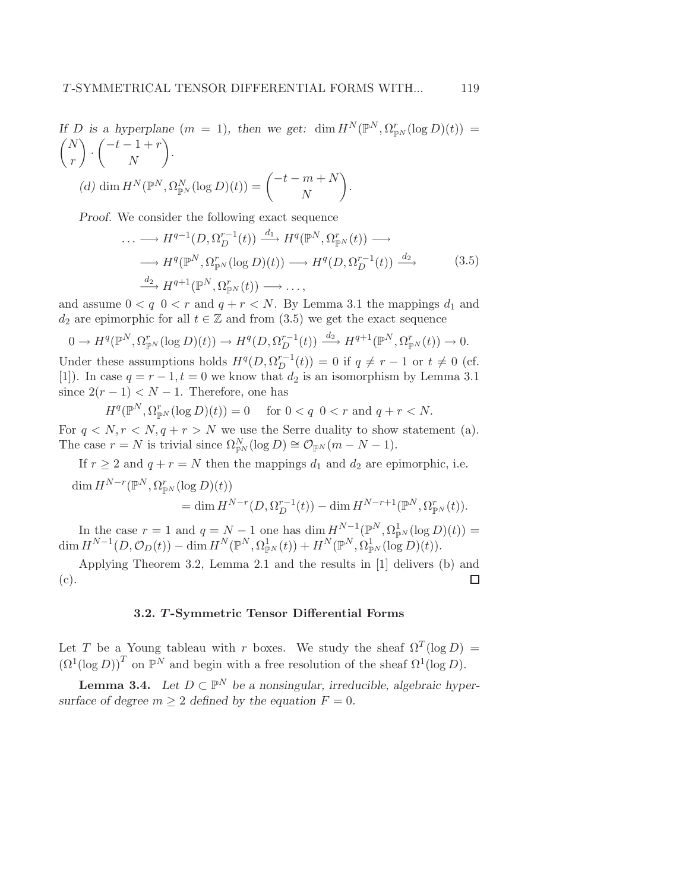If *D* is a hyperplane 
$$
(m = 1)
$$
, then we get:  $\dim H^N(\mathbb{P}^N, \Omega_{\mathbb{P}^N}^r(\log D)(t)) =$   
\n $\binom{N}{r} \cdot \binom{-t-1+r}{N}$ .  
\n(d)  $\dim H^N(\mathbb{P}^N, \Omega_{\mathbb{P}^N}^N(\log D)(t)) = \binom{-t-m+N}{N}$ .

*Proof.* We consider the following exact sequence

$$
\cdots \longrightarrow H^{q-1}(D, \Omega_D^{r-1}(t)) \xrightarrow{d_1} H^q(\mathbb{P}^N, \Omega_{\mathbb{P}^N}^r(t)) \longrightarrow
$$
  

$$
\longrightarrow H^q(\mathbb{P}^N, \Omega_{\mathbb{P}^N}^r(\log D)(t)) \longrightarrow H^q(D, \Omega_D^{r-1}(t)) \xrightarrow{d_2} \tag{3.5}
$$
  

$$
\xrightarrow{d_2} H^{q+1}(\mathbb{P}^N, \Omega_{\mathbb{P}^N}^r(t)) \longrightarrow \dots,
$$

and assume  $0 < q$   $0 < r$  and  $q + r < N$ . By Lemma 3.1 the mappings  $d_1$  and  $d_2$  are epimorphic for all  $t \in \mathbb{Z}$  and from (3.5) we get the exact sequence

$$
0 \to H^q(\mathbb{P}^N, \Omega_{\mathbb{P}^N}^r(\log D)(t)) \to H^q(D, \Omega_D^{r-1}(t)) \xrightarrow{d_2} H^{q+1}(\mathbb{P}^N, \Omega_{\mathbb{P}^N}^r(t)) \to 0.
$$

Under these assumptions holds  $H^q(D, \Omega_D^{r-1}(t)) = 0$  if  $q \neq r-1$  or  $t \neq 0$  (cf. [1]). In case  $q = r - 1, t = 0$  we know that  $d_2$  is an isomorphism by Lemma 3.1 since  $2(r-1) < N-1$ . Therefore, one has

$$
H^q(\mathbb{P}^N, \Omega^r_{\mathbb{P}^N}(\log D)(t)) = 0 \quad \text{ for } 0 < q \ 0 < r \text{ and } q + r < N.
$$

For  $q \lt N, r \lt N, q + r > N$  we use the Serre duality to show statement (a). The case  $r = N$  is trivial since  $\Omega_{\mathbb{P}^N}^N(\log D) \cong \mathcal{O}_{\mathbb{P}^N}(m - N - 1)$ .

If  $r \geq 2$  and  $q + r = N$  then the mappings  $d_1$  and  $d_2$  are epimorphic, i.e.  $\dim H^{N-r}(\mathbb{P}^N,\Omega^r_{\mathbb{P}^N}(\log D)(t))$ = dim  $H^{N-r}(D, \Omega_D^{r-1}(t))$  - dim  $H^{N-r+1}(\mathbb{P}^N, \Omega_{\mathbb{P}^N}^r(t)).$ 

In the case  $r = 1$  and  $q = N - 1$  one has  $\dim H^{N-1}(\mathbb{P}^N, \Omega^1_{\mathbb{P}^N}(\log D)(t)) =$  $\dim H^{N-1}(D,\mathcal{O}_D(t)) - \dim H^N(\mathbb{P}^N,\Omega^1_{\mathbb{P}^N}(t)) + H^N(\mathbb{P}^N,\Omega^1_{\mathbb{P}^N}(\log D)(t)).$ 

Applying Theorem 3.2, Lemma 2.1 and the results in [1] delivers (b) and (c).  $\Box$ 

# 3.2. T -Symmetric Tensor Differential Forms

Let T be a Young tableau with r boxes. We study the sheaf  $\Omega^T(\log D)$  =  $(\Omega^1(\log D))^T$  on  $\mathbb{P}^N$  and begin with a free resolution of the sheaf  $\Omega^1(\log D)$ .

**Lemma 3.4.** Let  $D \subset \mathbb{P}^N$  be a nonsingular, irreducible, algebraic hyper*surface of degree*  $m \geq 2$  *defined by the equation*  $F = 0$ *.*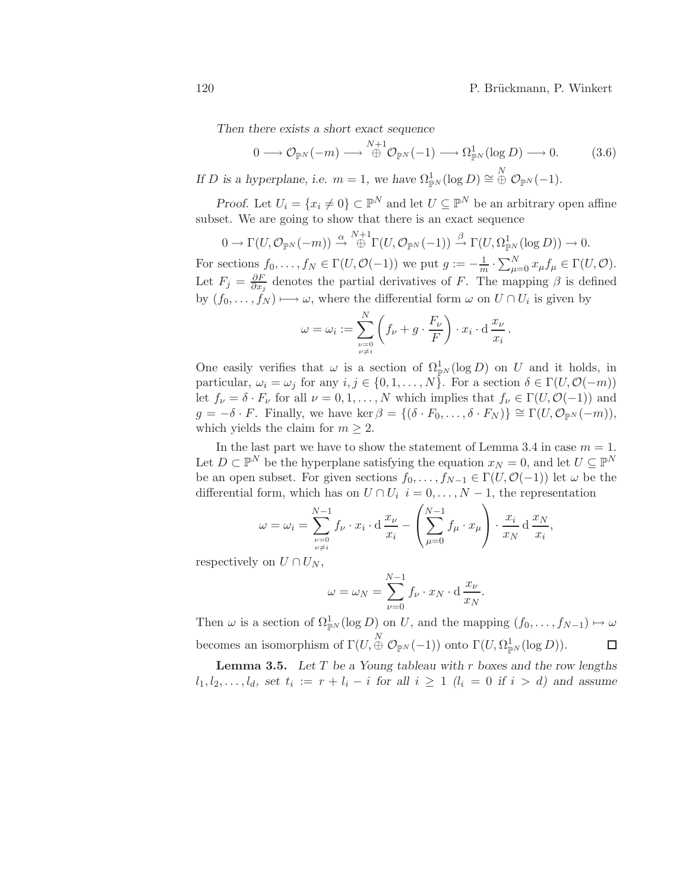*Then there exists a short exact sequence*

$$
0 \longrightarrow \mathcal{O}_{\mathbb{P}^N}(-m) \longrightarrow \overset{N+1}{\oplus} \mathcal{O}_{\mathbb{P}^N}(-1) \longrightarrow \Omega^1_{\mathbb{P}^N}(\log D) \longrightarrow 0. \tag{3.6}
$$

*If D is a hyperplane, i.e.*  $m = 1$ *, we have*  $\Omega_{\mathbb{P}^N}^1(\log D) \cong \bigoplus^N \mathcal{O}_{\mathbb{P}^N}(-1)$ *.* 

*Proof.* Let  $U_i = \{x_i \neq 0\} \subset \mathbb{P}^N$  and let  $U \subseteq \mathbb{P}^N$  be an arbitrary open affine subset. We are going to show that there is an exact sequence

$$
0 \to \Gamma(U, \mathcal{O}_{\mathbb{P}^N}(-m)) \stackrel{\alpha}{\to} \stackrel{N+1}{\oplus} \Gamma(U, \mathcal{O}_{\mathbb{P}^N}(-1)) \stackrel{\beta}{\to} \Gamma(U, \Omega^1_{\mathbb{P}^N}(\log D)) \to 0.
$$

For sections  $f_0, \ldots, f_N \in \Gamma(U, \mathcal{O}(-1))$  we put  $g := -\frac{1}{m} \cdot \sum_{\mu=0}^N x_\mu f_\mu \in \Gamma(U, \mathcal{O})$ . Let  $F_j = \frac{\partial F}{\partial x_i}$  $\frac{\partial F}{\partial x_j}$  denotes the partial derivatives of F. The mapping  $\beta$  is defined by  $(f_0, \ldots, f_N) \longrightarrow \omega$ , where the differential form  $\omega$  on  $U \cap U_i$  is given by

$$
\omega = \omega_i := \sum_{\substack{\nu=0 \ \nu \neq i}}^N \left( f_\nu + g \cdot \frac{F_\nu}{F} \right) \cdot x_i \cdot d \frac{x_\nu}{x_i}.
$$

One easily verifies that  $\omega$  is a section of  $\Omega_{\mathbb{P}^N}^1(\log D)$  on U and it holds, in particular,  $\omega_i = \omega_j$  for any  $i, j \in \{0, 1, \ldots, N\}$ . For a section  $\delta \in \Gamma(U, \mathcal{O}(-m))$ let  $f_{\nu} = \delta \cdot F_{\nu}$  for all  $\nu = 0, 1, ..., N$  which implies that  $f_{\nu} \in \Gamma(U, \mathcal{O}(-1))$  and  $g = -\delta \cdot F$ . Finally, we have ker  $\beta = \{(\delta \cdot F_0, \ldots, \delta \cdot F_N)\} \cong \Gamma(U, \mathcal{O}_{\mathbb{P}^N}(-m)),$ which yields the claim for  $m \geq 2$ .

In the last part we have to show the statement of Lemma 3.4 in case  $m = 1$ . Let  $D \subset \mathbb{P}^N$  be the hyperplane satisfying the equation  $x_N = 0$ , and let  $U \subseteq \mathbb{P}^N$ be an open subset. For given sections  $f_0, \ldots, f_{N-1} \in \Gamma(U, \mathcal{O}(-1))$  let  $\omega$  be the differential form, which has on  $U \cap U_i$   $i = 0, \ldots, N - 1$ , the representation

$$
\omega = \omega_i = \sum_{\substack{\nu=0 \ \nu \neq i}}^{N-1} f_{\nu} \cdot x_i \cdot d \frac{x_{\nu}}{x_i} - \left(\sum_{\mu=0}^{N-1} f_{\mu} \cdot x_{\mu}\right) \cdot \frac{x_i}{x_N} d \frac{x_N}{x_i},
$$

respectively on  $U \cap U_N$ ,

$$
\omega = \omega_N = \sum_{\nu=0}^{N-1} f_{\nu} \cdot x_N \cdot d \frac{x_{\nu}}{x_N}.
$$

Then  $\omega$  is a section of  $\Omega_{\mathbb{P}^N}^1(\log D)$  on U, and the mapping  $(f_0, \ldots, f_{N-1}) \mapsto \omega$ becomes an isomorphism of  $\Gamma(U, \overset{N}{\oplus} \mathcal{O}_{\mathbb{P}^N}(-1))$  onto  $\Gamma(U, \Omega^1_{\mathbb{P}^N}(\log D)).$  $\Box$ 

Lemma 3.5. *Let* T *be a Young tableau with* r *boxes and the row lengths*  $l_1, l_2, \ldots, l_d$ , set  $t_i := r + l_i - i$  for all  $i \geq 1$   $(l_i = 0$  if  $i > d)$  and assume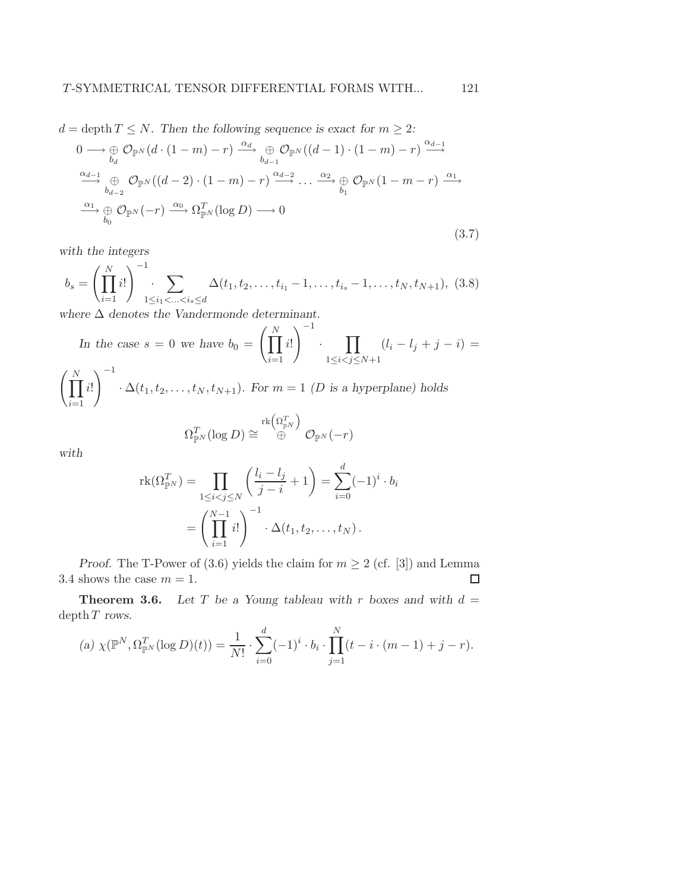$d = \text{depth } T \leq N$ . Then the following sequence is exact for  $m \geq 2$ :

$$
0 \longrightarrow \bigoplus_{b_d} \mathcal{O}_{\mathbb{P}^N}(d \cdot (1-m) - r) \xrightarrow{\alpha_d} \bigoplus_{b_{d-1}} \mathcal{O}_{\mathbb{P}^N}((d-1) \cdot (1-m) - r) \xrightarrow{\alpha_{d-1}} \n\stackrel{\alpha_{d-1}}{\longrightarrow} \bigoplus_{b_{d-2}} \mathcal{O}_{\mathbb{P}^N}((d-2) \cdot (1-m) - r) \xrightarrow{\alpha_{d-2}} \dots \xrightarrow{\alpha_2} \bigoplus_{b_1} \mathcal{O}_{\mathbb{P}^N}(1-m-r) \xrightarrow{\alpha_1} \n\stackrel{\alpha_1}{\longrightarrow} \bigoplus_{b_0} \mathcal{O}_{\mathbb{P}^N}(-r) \xrightarrow{\alpha_0} \Omega_{\mathbb{P}^N}^T(\log D) \longrightarrow 0
$$
\n(3.7)

*with the integers*

$$
b_s = \left(\prod_{i=1}^N i! \right)^{-1} \sum_{1 \le i_1 < \ldots < i_s \le d} \Delta(t_1, t_2, \ldots, t_{i_1} - 1, \ldots, t_{i_s} - 1, \ldots, t_N, t_{N+1}), \tag{3.8}
$$

*where* ∆ *denotes the Vandermonde determinant.*

In the case 
$$
s = 0
$$
 we have  $b_0 = \left(\prod_{i=1}^N i!\right)^{-1} \cdot \prod_{1 \le i < j \le N+1} (l_i - l_j + j - i) = \left(\prod_{i=1}^N i!\right)^{-1} \cdot \Delta(t_1, t_2, \dots, t_N, t_{N+1}).$  For  $m = 1$  (*D* is a hyperplane) holds

$$
\Omega^T_{\mathbb P^N}(\log D) \cong \overset{\mathrm{rk}\left(\Omega^T_{\mathbb P^N}\right)}{\oplus} \mathcal O_{\mathbb P^N}(-r)
$$

*with*

$$
rk(\Omega_{\mathbb{P}^N}^T) = \prod_{1 \le i < j \le N} \left( \frac{l_i - l_j}{j - i} + 1 \right) = \sum_{i=0}^d (-1)^i \cdot b_i
$$
\n
$$
= \left( \prod_{i=1}^{N-1} i! \right)^{-1} \cdot \Delta(t_1, t_2, \dots, t_N).
$$

*Proof.* The T-Power of (3.6) yields the claim for  $m \geq 2$  (cf. [3]) and Lemma 3.4 shows the case  $m = 1$ .  $\Box$ 

**Theorem 3.6.** Let T be a Young tableau with r boxes and with  $d =$ depth T *rows.*

(a) 
$$
\chi(\mathbb{P}^N, \Omega_{\mathbb{P}^N}^T(\log D)(t)) = \frac{1}{N!} \cdot \sum_{i=0}^d (-1)^i \cdot b_i \cdot \prod_{j=1}^N (t - i \cdot (m-1) + j - r).
$$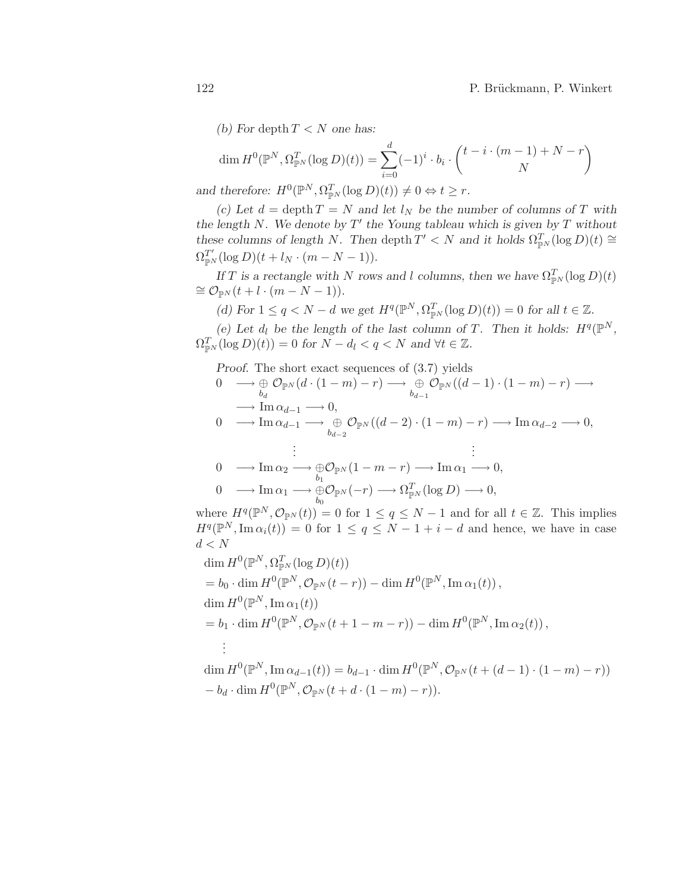*(b)* For depth  $T < N$  one has:

$$
\dim H^0(\mathbb{P}^N, \Omega_{\mathbb{P}^N}^T(\log D)(t)) = \sum_{i=0}^d (-1)^i \cdot b_i \cdot \binom{t - i \cdot (m-1) + N - r}{N}
$$
  
and therefore:  $H^0(\mathbb{P}^N, \Omega_{\mathbb{P}^N}^T(\log D)(t)) \neq 0 \Leftrightarrow t \geq r$ .

*(c)* Let  $d = \operatorname{depth} T = N$  *and let*  $l_N$  *be the number of columns of* T *with the length* N*. We denote by* T ′ *the Young tableau which is given by* T *without these columns of length* N. Then depth  $T' < N$  *and it holds*  $\Omega_{\mathbb{P}^N}^T(\log D)(t) \cong$  $\Omega_{\mathbb{P}^N}^{T'}(\log D)(t + l_N \cdot (m - N - 1)).$ 

*If T* is a rectangle with N rows and l columns, then we have  $\Omega_{\mathbb{P}^N}^T(\log D)(t)$  $\cong \mathcal{O}_{\mathbb{P}^N}(t+l\cdot(m-N-1)).$ 

(d) For  $1 \le q < N - d$  we get  $H^q(\mathbb{P}^N, \Omega_{\mathbb{P}^N}^T(\log D)(t)) = 0$  for all  $t \in \mathbb{Z}$ .

(e) Let  $d_l$  be the length of the last column of T. Then it holds:  $H^q(\mathbb{P}^N,$  $\Omega_{\mathbb{P}^N}^T(\log D)(t)) = 0$  for  $N - d_l < q < N$  and  $\forall t \in \mathbb{Z}$ .

*Proof.* The short exact sequences of (3.7) yields

$$
\begin{array}{ll}\n0 & \longrightarrow \bigoplus_{b_d} \mathcal{O}_{\mathbb{P}^N}(d \cdot (1-m) - r) \longrightarrow \bigoplus_{b_{d-1}} \mathcal{O}_{\mathbb{P}^N}((d-1) \cdot (1-m) - r) \longrightarrow \\
&\longrightarrow \text{Im } \alpha_{d-1} \longrightarrow 0, \\
0 & \longrightarrow \text{Im } \alpha_{d-1} \longrightarrow \bigoplus_{b_{d-2}} \mathcal{O}_{\mathbb{P}^N}((d-2) \cdot (1-m) - r) \longrightarrow \text{Im } \alpha_{d-2} \longrightarrow 0, \\
&\vdots &\vdots \\
0 & \longrightarrow \text{Im } \alpha_2 \longrightarrow \bigoplus_{b_1} \mathcal{O}_{\mathbb{P}^N}(1-m-r) \longrightarrow \text{Im } \alpha_1 \longrightarrow 0, \\
&\longrightarrow \text{Im } \alpha_1 \longrightarrow \bigoplus_{b_0} \mathcal{O}_{\mathbb{P}^N}(-r) \longrightarrow \Omega^T_{\mathbb{P}^N}(\log D) \longrightarrow 0,\n\end{array}
$$

where  $H^q(\mathbb{P}^N, \mathcal{O}_{\mathbb{P}^N}(t)) = 0$  for  $1 \le q \le N-1$  and for all  $t \in \mathbb{Z}$ . This implies  $H^q(\mathbb{P}^N, \text{Im } \alpha_i(t)) = 0$  for  $1 \leq q \leq N-1+i-d$  and hence, we have in case  $d < N$ 

$$
\dim H^0(\mathbb{P}^N, \Omega^T_{\mathbb{P}^N}(\log D)(t))
$$
\n
$$
= b_0 \cdot \dim H^0(\mathbb{P}^N, \mathcal{O}_{\mathbb{P}^N}(t-r)) - \dim H^0(\mathbb{P}^N, \operatorname{Im} \alpha_1(t)),
$$
\n
$$
\dim H^0(\mathbb{P}^N, \operatorname{Im} \alpha_1(t))
$$
\n
$$
= b_1 \cdot \dim H^0(\mathbb{P}^N, \mathcal{O}_{\mathbb{P}^N}(t+1-m-r)) - \dim H^0(\mathbb{P}^N, \operatorname{Im} \alpha_2(t)),
$$
\n
$$
\vdots
$$
\n
$$
\dim H^0(\mathbb{P}^N, \operatorname{Im} \alpha_{d-1}(t)) = b_{d-1} \cdot \dim H^0(\mathbb{P}^N, \mathcal{O}_{\mathbb{P}^N}(t+(d-1)\cdot(1-m)-r))
$$
\n
$$
-b_d \cdot \dim H^0(\mathbb{P}^N, \mathcal{O}_{\mathbb{P}^N}(t+d\cdot(1-m)-r)).
$$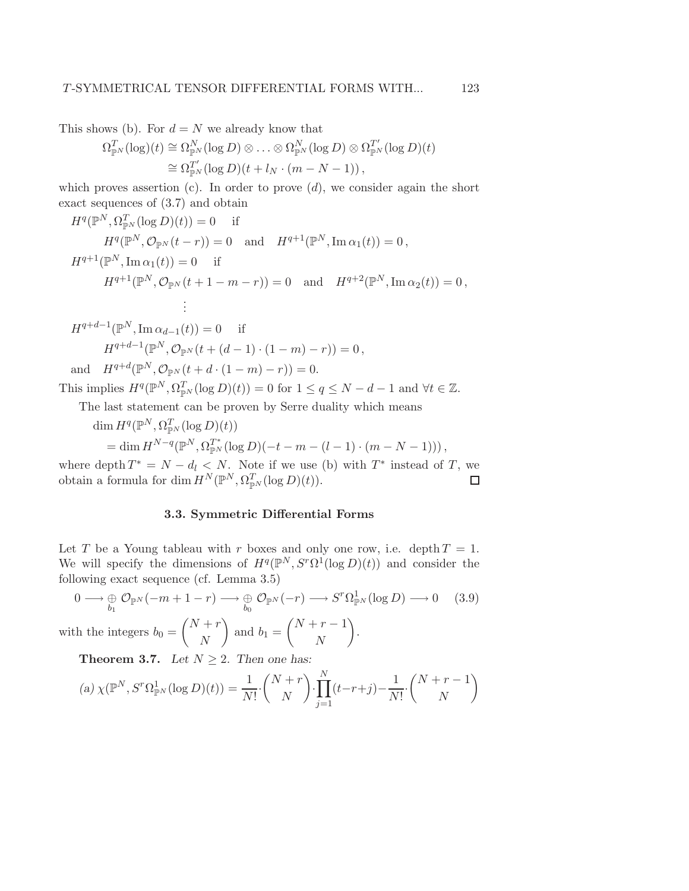This shows (b). For  $d = N$  we already know that

$$
\Omega_{\mathbb{P}^N}^T(\log)(t) \cong \Omega_{\mathbb{P}^N}^N(\log D) \otimes \ldots \otimes \Omega_{\mathbb{P}^N}^N(\log D) \otimes \Omega_{\mathbb{P}^N}^{T'}(\log D)(t)
$$
  
\n
$$
\cong \Omega_{\mathbb{P}^N}^{T'}(\log D)(t + l_N \cdot (m - N - 1)),
$$

which proves assertion (c). In order to prove  $(d)$ , we consider again the short exact sequences of (3.7) and obtain

$$
H^{q}(\mathbb{P}^{N}, \Omega_{\mathbb{P}^{N}}^{T}(\log D)(t)) = 0 \text{ if}
$$
  
\n
$$
H^{q}(\mathbb{P}^{N}, \mathcal{O}_{\mathbb{P}^{N}}(t-r)) = 0 \text{ and } H^{q+1}(\mathbb{P}^{N}, \text{Im }\alpha_{1}(t)) = 0,
$$
  
\n
$$
H^{q+1}(\mathbb{P}^{N}, \text{Im }\alpha_{1}(t)) = 0 \text{ if}
$$
  
\n
$$
H^{q+1}(\mathbb{P}^{N}, \mathcal{O}_{\mathbb{P}^{N}}(t+1-m-r)) = 0 \text{ and } H^{q+2}(\mathbb{P}^{N}, \text{Im }\alpha_{2}(t)) = 0,
$$
  
\n
$$
\vdots
$$
  
\n
$$
H^{q+d-1}(\mathbb{P}^{N}, \text{Im }\alpha_{d-1}(t)) = 0 \text{ if}
$$
  
\n
$$
H^{q+d-1}(\mathbb{P}^{N}, \mathcal{O}_{\mathbb{P}^{N}}(t+(d-1)\cdot(1-m)-r)) = 0,
$$
  
\nand 
$$
H^{q+d}(\mathbb{P}^{N}, \mathcal{O}_{\mathbb{P}^{N}}(t+d\cdot(1-m)-r)) = 0.
$$

This implies  $H^q(\mathbb{P}^N, \Omega_{\mathbb{P}^N}^T(\log D)(t)) = 0$  for  $1 \le q \le N - d - 1$  and  $\forall t \in \mathbb{Z}$ .

The last statement can be proven by Serre duality which means

 $\dim H^q(\mathbb{P}^N, \Omega^T_{\mathbb{P}^N}(\log D)(t))$ = dim  $H^{N-q}(\mathbb{P}^N, \Omega_{\mathbb{P}^N}^{T^*}(\log D)(-t-m-(l-1)\cdot(m-N-1))),$ 

where depth  $T^* = N - d_l < N$ . Note if we use (b) with  $T^*$  instead of T, we obtain a formula for dim  $H^N(\mathbb{P}^N, \Omega_{\mathbb{P}^N}^T(\log D)(t)).$  $\Box$ 

# 3.3. Symmetric Differential Forms

Let T be a Young tableau with r boxes and only one row, i.e. depth  $T = 1$ . We will specify the dimensions of  $H^q(\mathbb{P}^N, S^r\Omega^1(\log D)(t))$  and consider the following exact sequence (cf. Lemma 3.5)

$$
0 \longrightarrow \bigoplus_{b_1} \mathcal{O}_{\mathbb{P}^N}(-m+1-r) \longrightarrow \bigoplus_{b_0} \mathcal{O}_{\mathbb{P}^N}(-r) \longrightarrow S^r \Omega^1_{\mathbb{P}^N}(\log D) \longrightarrow 0 \quad (3.9)
$$

with the integers  $b_0 =$  $\sqrt{N+r}$ N  $\setminus$ and  $b_1 =$  $\sqrt{N+r-1}$ N  $\setminus$ .

**Theorem 3.7.** *Let*  $N \geq 2$ *. Then one has:* 

(a) 
$$
\chi(\mathbb{P}^N, S^r \Omega_{\mathbb{P}^N}^1(\log D)(t)) = \frac{1}{N!} \cdot {N+r \choose N} \cdot \prod_{j=1}^N (t-r+j) - \frac{1}{N!} \cdot {N+r-1 \choose N}
$$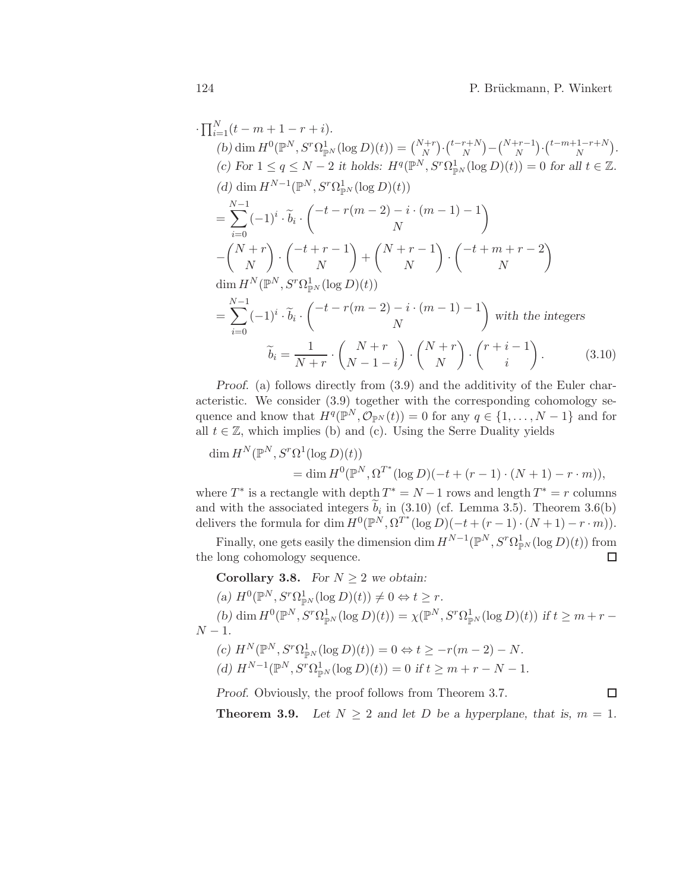$\Box$ 

$$
\prod_{i=1}^{N} (t - m + 1 - r + i).
$$
\n(b) dim  $H^{0}(\mathbb{P}^{N}, S^{r}\Omega_{\mathbb{P}^{N}}^{1}(\log D)(t)) = {N+r \choose N} \cdot {t-r+N \choose N} - {N+r-1 \choose N} \cdot {t-m+1-r+N \choose N}.$ \n(c) For  $1 \le q \le N-2$  it holds:  $H^{q}(\mathbb{P}^{N}, S^{r}\Omega_{\mathbb{P}^{N}}^{1}(\log D)(t)) = 0$  for all  $t \in \mathbb{Z}$ .\n(d) dim  $H^{N-1}(\mathbb{P}^{N}, S^{r}\Omega_{\mathbb{P}^{N}}^{1}(\log D)(t))$ \n
$$
= \sum_{i=0}^{N-1} (-1)^{i} \cdot \tilde{b}_{i} \cdot \left( \frac{-t-r(m-2) - i \cdot (m-1) - 1}{N} \right) - \left( \frac{N+r}{N} \right) \cdot \left( \frac{-t+m+r-2}{N} \right)
$$
\n
$$
\dim H^{N}(\mathbb{P}^{N}, S^{r}\Omega_{\mathbb{P}^{N}}^{1}(\log D)(t))
$$
\n
$$
= \sum_{i=0}^{N-1} (-1)^{i} \cdot \tilde{b}_{i} \cdot \left( \frac{-t-r(m-2) - i \cdot (m-1) - 1}{N} \right) \text{ with the integers}
$$
\n
$$
\tilde{b}_{i} = \frac{1}{N+r} \cdot \left( \frac{N+r}{N-1-i} \right) \cdot \left( \frac{N+r}{N} \right) \cdot \left( \frac{r+i-1}{i} \right). \tag{3.10}
$$

*Proof.* (a) follows directly from  $(3.9)$  and the additivity of the Euler characteristic. We consider (3.9) together with the corresponding cohomology sequence and know that  $H^q(\mathbb{P}^N, \mathcal{O}_{\mathbb{P}^N}(t)) = 0$  for any  $q \in \{1, ..., N-1\}$  and for all  $t \in \mathbb{Z}$ , which implies (b) and (c). Using the Serre Duality yields

$$
\dim H^N(\mathbb{P}^N, S^r \Omega^1(\log D)(t))
$$
  
= 
$$
\dim H^0(\mathbb{P}^N, \Omega^{T^*}(\log D)(-t + (r-1) \cdot (N+1) - r \cdot m)),
$$

where  $T^*$  is a rectangle with depth  $T^* = N - 1$  rows and length  $T^* = r$  columns and with the associated integers  $b_i$  in (3.10) (cf. Lemma 3.5). Theorem 3.6(b) delivers the formula for dim  $H^0(\mathbb{P}^N, \Omega^{T^*}(\log D)(-t + (r-1) \cdot (N+1) - r \cdot m)).$ 

Finally, one gets easily the dimension dim  $H^{N-1}(\mathbb{P}^N, S^r \Omega^1_{\mathbb{P}^N}(\log D)(t))$  from the long cohomology sequence.  $\Box$ 

**Corollary 3.8.** *For*  $N > 2$  *we obtain:* 

 $(a) H^0(\mathbb{P}^N, S^r \Omega^1_{\mathbb{P}^N}(\log D)(t)) \neq 0 \Leftrightarrow t \geq r.$ 

(b) dim  $H^0(\mathbb{P}^N, S^r \Omega^1_{\mathbb{P}^N}(\log D)(t)) = \chi(\mathbb{P}^N, S^r \Omega^1_{\mathbb{P}^N}(\log D)(t))$  if  $t \geq m + r N - 1$ .

 $(c)$   $H^N(\mathbb{P}^N, S^r \Omega_{\mathbb{P}^N}^1(\log D)(t)) = 0 \Leftrightarrow t \geq -r(m-2) - N.$  $(d) H^{N-1}(\mathbb{P}^N, S^r \Omega_{\mathbb{P}^N}^1(\log D)(t)) = 0$  *if*  $t \ge m + r - N - 1$ *.* 

*Proof.* Obviously, the proof follows from Theorem 3.7.

**Theorem 3.9.** Let  $N \geq 2$  and let D be a hyperplane, that is,  $m = 1$ .

·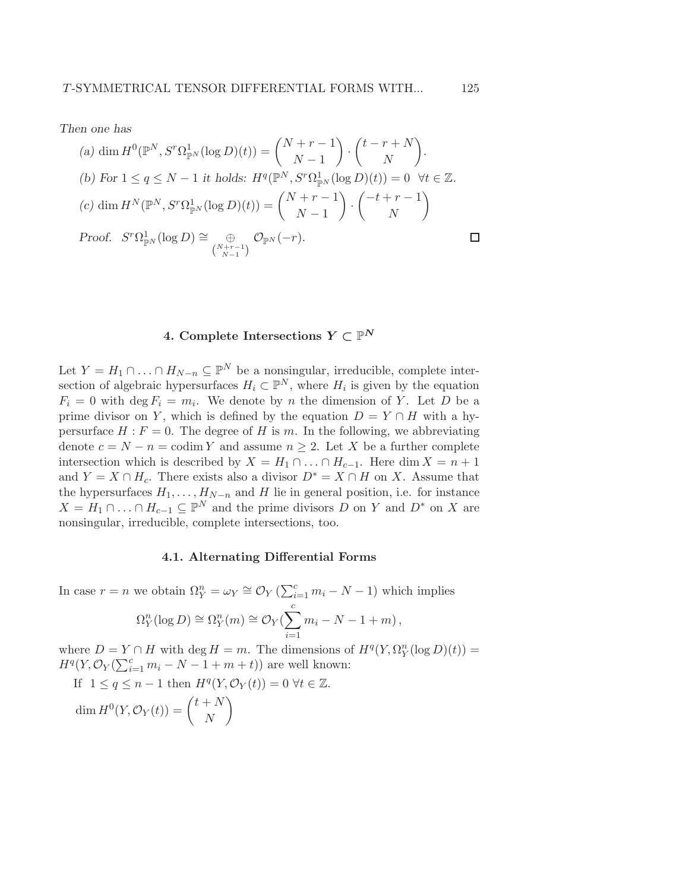*Then one has*

(a) dim 
$$
H^0(\mathbb{P}^N, S^r \Omega_{\mathbb{P}^N}^1(\log D)(t)) = \binom{N+r-1}{N-1} \cdot \binom{t-r+N}{N}
$$
.  
\n(b) For  $1 \le q \le N-1$  it holds:  $H^q(\mathbb{P}^N, S^r \Omega_{\mathbb{P}^N}^1(\log D)(t)) = 0 \ \forall t \in \mathbb{Z}$ .  
\n(c) dim  $H^N(\mathbb{P}^N, S^r \Omega_{\mathbb{P}^N}^1(\log D)(t)) = \binom{N+r-1}{N-1} \cdot \binom{-t+r-1}{N}$   
\nProof.  $S^r \Omega_{\mathbb{P}^N}^1(\log D) \cong \bigoplus_{\binom{N+r-1}{N-1}} \mathcal{O}_{\mathbb{P}^N}(-r)$ .

# 4. Complete Intersections  $Y \subset \mathbb{P}^N$

Let  $Y = H_1 \cap ... \cap H_{N-n} \subseteq \mathbb{P}^N$  be a nonsingular, irreducible, complete intersection of algebraic hypersurfaces  $H_i \subset \mathbb{P}^N$ , where  $H_i$  is given by the equation  $F_i = 0$  with  $\deg F_i = m_i$ . We denote by *n* the dimension of *Y*. Let *D* be a prime divisor on Y, which is defined by the equation  $D = Y \cap H$  with a hypersurface  $H : F = 0$ . The degree of H is m. In the following, we abbreviating denote  $c = N - n = \text{codim } Y$  and assume  $n \geq 2$ . Let X be a further complete intersection which is described by  $X = H_1 \cap ... \cap H_{c-1}$ . Here dim  $X = n + 1$ and  $Y = X \cap H_c$ . There exists also a divisor  $D^* = X \cap H$  on X. Assume that the hypersurfaces  $H_1, \ldots, H_{N-n}$  and H lie in general position, i.e. for instance  $X = H_1 \cap \ldots \cap H_{c-1} \subseteq \mathbb{P}^N$  and the prime divisors D on Y and  $D^*$  on X are nonsingular, irreducible, complete intersections, too.

### 4.1. Alternating Differential Forms

In case  $r = n$  we obtain  $\Omega_Y^n = \omega_Y \cong \mathcal{O}_Y(\sum_{i=1}^c m_i - N - 1)$  which implies  $\Omega_Y^n(\log D) \cong \Omega_Y^n(m) \cong \mathcal{O}_Y(\sum^c)$  $i=1$  $m_i - N - 1 + m$ ,

where  $D = Y \cap H$  with  $\deg H = m$ . The dimensions of  $H^q(Y, \Omega_Y^n(\log D)(t)) =$  $H^q(Y, \mathcal{O}_Y(\sum_{i=1}^c m_i - N - 1 + m + t))$  are well known: If  $1 \le q \le n-1$  then  $H^q(Y, \mathcal{O}_Y(t)) = 0 \ \forall t \in \mathbb{Z}$ .

 $\dim H^0(Y, \mathcal{O}_Y(t)) = \begin{pmatrix} t + N \\ N \end{pmatrix}$ N  $\overline{ }$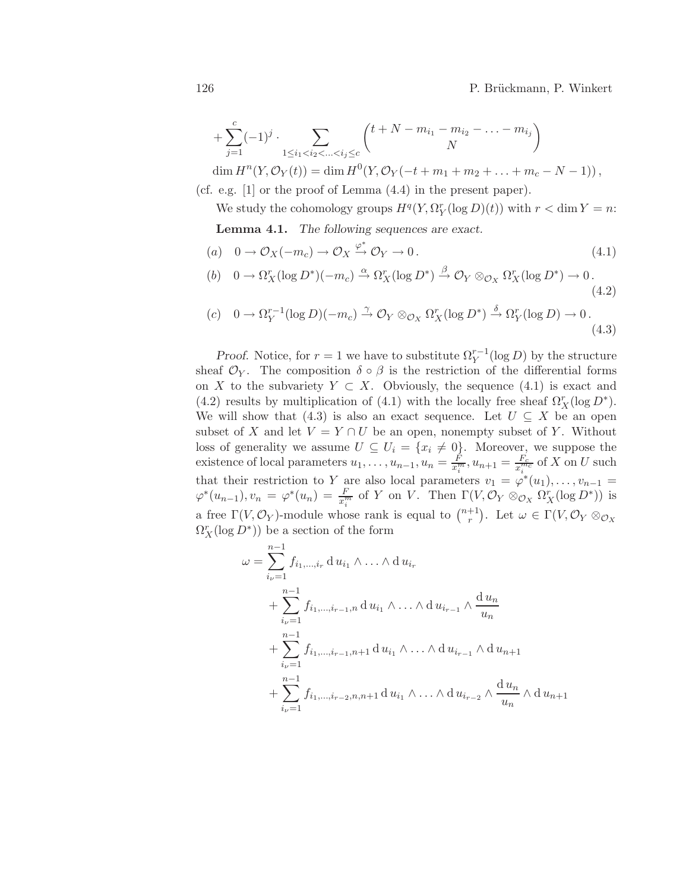+ 
$$
\sum_{j=1}^{c} (-1)^j \cdot \sum_{1 \le i_1 < i_2 < ... < i_j \le c} {t + N - m_{i_1} - m_{i_2} - ... - m_{i_j} \choose N}
$$

dim  $H^{n}(Y, \mathcal{O}_{Y}(t)) = \dim H^{0}(Y, \mathcal{O}_{Y}(-t+m_{1}+m_{2}+\ldots+m_{c}-N-1)),$ (cf. e.g. [1] or the proof of Lemma (4.4) in the present paper).

We study the cohomology groups  $H^q(Y, \Omega_Y^r(\log D)(t))$  with  $r < \dim Y = n$ :

Lemma 4.1. *The following sequences are exact.*

$$
(a) \quad 0 \to \mathcal{O}_X(-m_c) \to \mathcal{O}_X \xrightarrow{\varphi^*} \mathcal{O}_Y \to 0. \tag{4.1}
$$

(b) 
$$
0 \to \Omega_X^r(\log D^*)(-m_c) \xrightarrow{\alpha} \Omega_X^r(\log D^*) \xrightarrow{\beta} \mathcal{O}_Y \otimes_{\mathcal{O}_X} \Omega_X^r(\log D^*) \to 0.
$$
 (4.2)

$$
(c) \quad 0 \to \Omega_Y^{r-1}(\log D)(-m_c) \xrightarrow{\gamma} \mathcal{O}_Y \otimes_{\mathcal{O}_X} \Omega_X^r(\log D^*) \xrightarrow{\delta} \Omega_Y^r(\log D) \to 0.
$$
\n
$$
(4.3)
$$

*Proof.* Notice, for  $r = 1$  we have to substitute  $\Omega_Y^{r-1}(\log D)$  by the structure sheaf  $\mathcal{O}_Y$ . The composition  $\delta \circ \beta$  is the restriction of the differential forms on X to the subvariety  $Y \subset X$ . Obviously, the sequence (4.1) is exact and (4.2) results by multiplication of (4.1) with the locally free sheaf  $\Omega^r_X(\log D^*)$ . We will show that (4.3) is also an exact sequence. Let  $U \subseteq X$  be an open subset of X and let  $V = Y \cap U$  be an open, nonempty subset of Y. Without loss of generality we assume  $U \subseteq U_i = \{x_i \neq 0\}$ . Moreover, we suppose the existence of local parameters  $u_1, \ldots, u_{n-1}, u_n = \frac{F}{x_i^m}, u_{n+1} = \frac{F_c}{x_i^m}$  $\frac{F_c}{x_i^{m_c}}$  of X on U such that their restriction to Y are also local parameters  $v_1 = \varphi^*(u_1), \ldots, v_{n-1} =$  $\varphi^*(u_{n-1}), v_n = \varphi^*(u_n) = \frac{F}{x_i^m}$  of Y on V. Then  $\Gamma(V, \mathcal{O}_Y \otimes_{\mathcal{O}_X} \Omega_X^r(\log D^*))$  is a free  $\Gamma(V, \mathcal{O}_Y)$ -module whose rank is equal to  $\binom{n+1}{r}$ <sup>+1</sup>). Let  $\omega \in \Gamma(V, \mathcal{O}_Y \otimes_{\mathcal{O}_X}$  $\Omega^r_X(\log D^*)$ ) be a section of the form

$$
\omega = \sum_{i_{\nu}=1}^{n-1} f_{i_1,...,i_r} \, d u_{i_1} \wedge ... \wedge d u_{i_r}
$$
  
+ 
$$
\sum_{i_{\nu}=1}^{n-1} f_{i_1,...,i_{r-1},n} \, d u_{i_1} \wedge ... \wedge d u_{i_{r-1}} \wedge \frac{d u_n}{u_n}
$$
  
+ 
$$
\sum_{i_{\nu}=1}^{n-1} f_{i_1,...,i_{r-1},n+1} \, d u_{i_1} \wedge ... \wedge d u_{i_{r-1}} \wedge d u_{n+1}
$$
  
+ 
$$
\sum_{i_{\nu}=1}^{n-1} f_{i_1,...,i_{r-2},n,n+1} \, d u_{i_1} \wedge ... \wedge d u_{i_{r-2}} \wedge \frac{d u_n}{u_n} \wedge d u_{n+1}
$$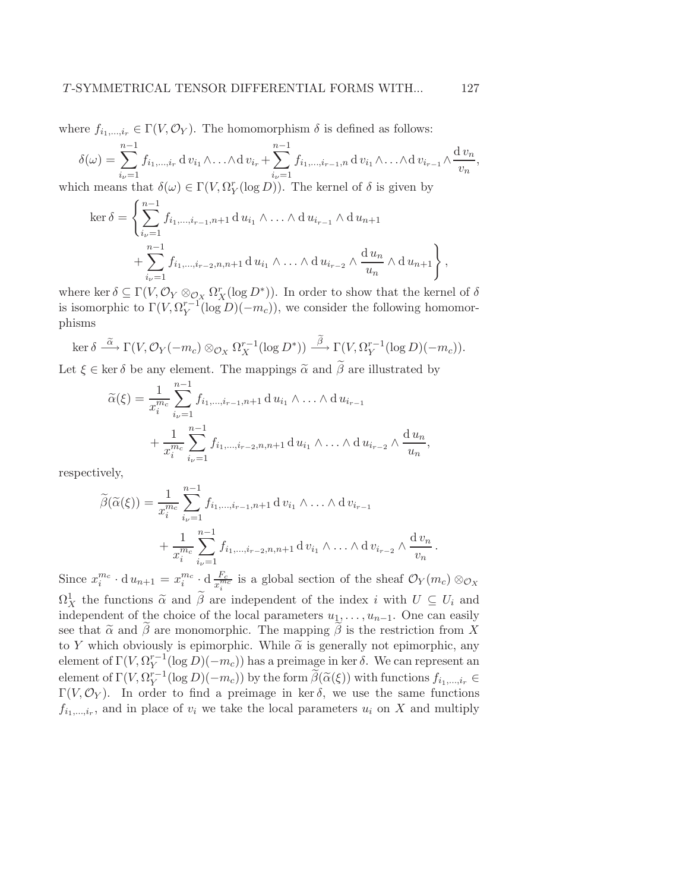where  $f_{i_1,\dots,i_r} \in \Gamma(V, \mathcal{O}_Y)$ . The homomorphism  $\delta$  is defined as follows:

$$
\delta(\omega) = \sum_{i_{\nu}=1}^{n-1} f_{i_1,\dots,i_r} \, \mathrm{d} \, v_{i_1} \wedge \dots \wedge \mathrm{d} \, v_{i_r} + \sum_{i_{\nu}=1}^{n-1} f_{i_1,\dots,i_{r-1},n} \, \mathrm{d} \, v_{i_1} \wedge \dots \wedge \mathrm{d} \, v_{i_{r-1}} \wedge \frac{\mathrm{d} \, v_n}{v_n},
$$
\nwhich means that  $\delta(\omega) \in \Gamma(V, \Omega_Y^r(\log D))$ . The Kernel of  $\delta$  is given by

 $(n-1)$ 

$$
\ker \delta = \left\{ \sum_{i_{\nu}=1} f_{i_1, ..., i_{r-1}, n+1} \, \mathrm{d} \, u_{i_1} \wedge ... \wedge \mathrm{d} \, u_{i_{r-1}} \wedge \mathrm{d} \, u_{n+1} \right. \\ \left. + \sum_{i_{\nu}=1}^{n-1} f_{i_1, ..., i_{r-2}, n, n+1} \, \mathrm{d} \, u_{i_1} \wedge ... \wedge \mathrm{d} \, u_{i_{r-2}} \wedge \frac{\mathrm{d} \, u_n}{u_n} \wedge \mathrm{d} \, u_{n+1} \right\},
$$

where ker  $\delta \subseteq \Gamma(V, \mathcal{O}_Y \otimes_{\mathcal{O}_X} \Omega_X^r(\log D^*))$ . In order to show that the kernel of  $\delta$ is isomorphic to  $\Gamma(V, \Omega_Y^{r-1}(\log D)(-m_c))$ , we consider the following homomorphisms

$$
\ker \delta \stackrel{\widetilde{\alpha}}{\longrightarrow} \Gamma(V, \mathcal{O}_Y(-m_c) \otimes_{\mathcal{O}_X} \Omega_X^{r-1}(\log D^*)) \stackrel{\widetilde{\beta}}{\longrightarrow} \Gamma(V, \Omega_Y^{r-1}(\log D)(-m_c)).
$$

Let  $\xi \in \text{ker } \delta$  be any element. The mappings  $\tilde{\alpha}$  and  $\beta$  are illustrated by

$$
\widetilde{\alpha}(\xi) = \frac{1}{x_i^{m_c}} \sum_{i_{\nu}=1}^{n-1} f_{i_1,...,i_{r-1},n+1} \, \mathrm{d} \, u_{i_1} \wedge \ldots \wedge \mathrm{d} \, u_{i_{r-1}} + \frac{1}{x_i^{m_c}} \sum_{i_{\nu}=1}^{n-1} f_{i_1,...,i_{r-2},n,n+1} \, \mathrm{d} \, u_{i_1} \wedge \ldots \wedge \mathrm{d} \, u_{i_{r-2}} \wedge \frac{\mathrm{d} \, u_n}{u_n},
$$

respectively,

$$
\widetilde{\beta}(\widetilde{\alpha}(\xi)) = \frac{1}{x_i^{m_c}} \sum_{i_{\nu}=1}^{n-1} f_{i_1,...,i_{r-1},n+1} \, \mathrm{d} \, v_{i_1} \wedge \ldots \wedge \mathrm{d} \, v_{i_{r-1}} + \frac{1}{x_i^{m_c}} \sum_{i_{\nu}=1}^{n-1} f_{i_1,...,i_{r-2},n,n+1} \, \mathrm{d} \, v_{i_1} \wedge \ldots \wedge \mathrm{d} \, v_{i_{r-2}} \wedge \frac{\mathrm{d} \, v_n}{v_n} \, .
$$

Since  $x_i^{m_c} \cdot d u_{n+1} = x_i^{m_c} \cdot d \frac{F_c}{x_i^m}$  $\frac{F_c}{x_i^{mc}}$  is a global section of the sheaf  $\mathcal{O}_Y(m_c) \otimes_{\mathcal{O}_X}$  $\Omega^1_X$  the functions  $\tilde{\alpha}$  and  $\tilde{\beta}$  are independent of the index i with  $U \subseteq U_i$  and independent of the choice of the local parameters  $u_1, \ldots, u_{n-1}$ . One can easily see that  $\tilde{\alpha}$  and  $\tilde{\beta}$  are monomorphic. The mapping  $\tilde{\beta}$  is the restriction from X to Y which obviously is epimorphic. While  $\tilde{\alpha}$  is generally not epimorphic, any element of  $\Gamma(V, \Omega_Y^{r-1}(\log D)(-m_c))$  has a preimage in ker  $\delta$ . We can represent an element of  $\Gamma(V, \Omega_Y^{r-1}(\log D)(-m_c))$  by the form  $\widetilde{\beta}(\widetilde{\alpha}(\xi))$  with functions  $f_{i_1,\dots,i_r} \in$  $\Gamma(V, \mathcal{O}_Y)$ . In order to find a preimage in ker δ, we use the same functions  $f_{i_1,\dots,i_r}$ , and in place of  $v_i$  we take the local parameters  $u_i$  on X and multiply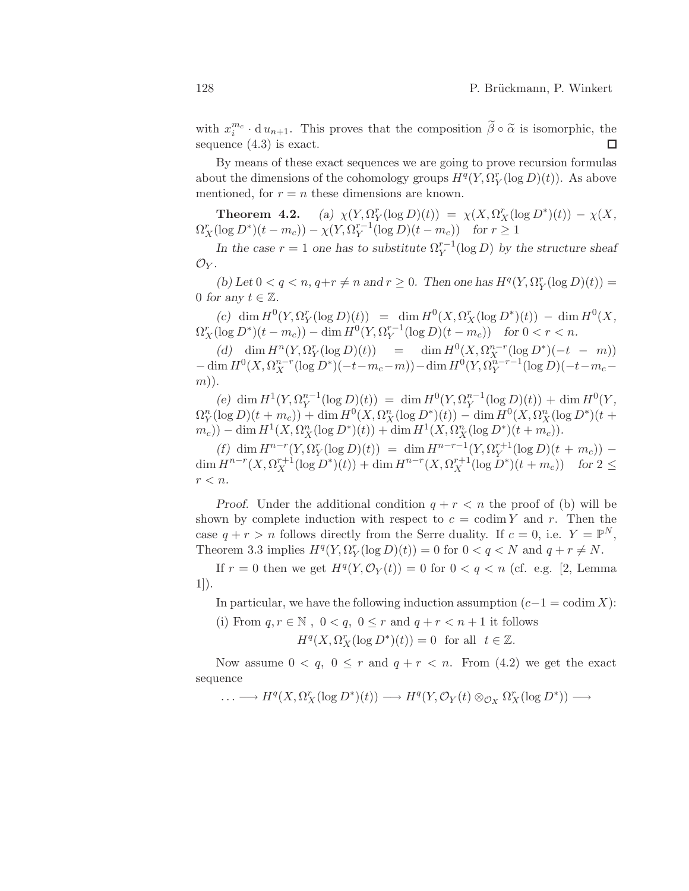with  $x_i^{m_c} \cdot du_{n+1}$ . This proves that the composition  $\tilde{\beta} \circ \tilde{\alpha}$  is isomorphic, the sequence (4.3) is exact.

By means of these exact sequences we are going to prove recursion formulas about the dimensions of the cohomology groups  $H^q(Y, \Omega_Y^r(\log D)(t))$ . As above mentioned, for  $r = n$  these dimensions are known.

**Theorem 4.2.** (a)  $\chi(Y, \Omega_Y^r(\log D)(t)) = \chi(X, \Omega_X^r(\log D^*)(t)) - \chi(X,$  $\Omega_X^r(\log D^*)(t - m_c)) - \chi(Y, \Omega_Y^{r-1}(\log D)(t - m_c))$  for  $r \ge 1$ 

*In the case*  $r = 1$  *one has to substitute*  $\Omega_Y^{r-1}(\log D)$  *by the structure sheaf*  $\mathcal{O}_Y$ .

(b) Let  $0 < q < n$ ,  $q+r \neq n$  and  $r \geq 0$ . Then one has  $H^q(Y, \Omega_Y^r(\log D)(t)) =$ 0 for any  $t \in \mathbb{Z}$ .

 $f(c)$  dim  $H^0(Y, \Omega_Y^r(\log D)(t)) = \dim H^0(X, \Omega_X^r(\log D^*)(t)) - \dim H^0(X,$  $\Omega_X^r(\log D^*)(t - m_c)) - \dim H^0(Y, \Omega_Y^{r-1}(\log D)(t - m_c))$  for  $0 < r < n$ .

(d)  $\dim H^{n}(Y, \Omega^{r}_{Y}(\log D)(t)) = \dim H^{0}(X, \Omega^{n-r}_{X}(\log D^{*})(-t - m))$  $-\dim H^0(X, \Omega_X^{n-r}(\log D^*) (-t-m_c-m))-\dim H^0(Y, \Omega_Y^{\hat{n}-r-1}(\log D)) (-t-m_c-m_c)$ m))*.*

(e) dim  $H^1(Y, \Omega_Y^{n-1}(\log D)(t)) = \dim H^0(Y, \Omega_Y^{n-1}(\log D)(t)) + \dim H^0(Y,$  $\Omega_Y^n(\log D)(t + m_c)$  + dim  $H^0(X, \Omega_X^n(\log D^*)(t))$  – dim  $H^0(X, \Omega_X^n(\log D^*)(t +$  $(m_c)$ ) – dim  $H^1(X, \Omega_X^n(\log D^*)(t)) + \dim H^1(X, \Omega_X^n(\log D^*)(t + m_c)).$ 

 $(f)$  dim  $H^{n-r}(Y, \Omega_Y^r(\log D)(t)) = \dim H^{n-r-1}(Y, \Omega_Y^{r+1}(\log D)(t + m_c))$ dim  $H^{n-r}(X, \Omega_X^{r+1}(\log D^*)(t)) + \dim H^{n-r}(X, \Omega_X^{r+1}(\log D^*)(t+m_c))$  for  $2 \le$  $r < n$ .

*Proof.* Under the additional condition  $q + r < n$  the proof of (b) will be shown by complete induction with respect to  $c = \text{codim } Y$  and r. Then the case  $q + r > n$  follows directly from the Serre duality. If  $c = 0$ , i.e.  $Y = \mathbb{P}^N$ , Theorem 3.3 implies  $H^q(Y, \Omega_Y^r(\log D)(t)) = 0$  for  $0 < q < N$  and  $q + r \neq N$ .

If  $r = 0$  then we get  $H^q(Y, \mathcal{O}_Y(t)) = 0$  for  $0 < q < n$  (cf. e.g. [2, Lemma 1]).

In particular, we have the following induction assumption  $(c-1) = \text{codim } X$ :

(i) From  $q, r \in \mathbb{N}$ ,  $0 < q$ ,  $0 \leq r$  and  $q + r < n + 1$  it follows

 $H^q(X, \Omega^r_X(\log D^*)(t)) = 0$  for all  $t \in \mathbb{Z}$ .

Now assume  $0 < q$ ,  $0 \leq r$  and  $q + r < n$ . From (4.2) we get the exact sequence

$$
\ldots \longrightarrow H^q(X, \Omega^r_X(\log D^*)(t)) \longrightarrow H^q(Y, \mathcal{O}_Y(t) \otimes_{\mathcal{O}_X} \Omega^r_X(\log D^*)) \longrightarrow
$$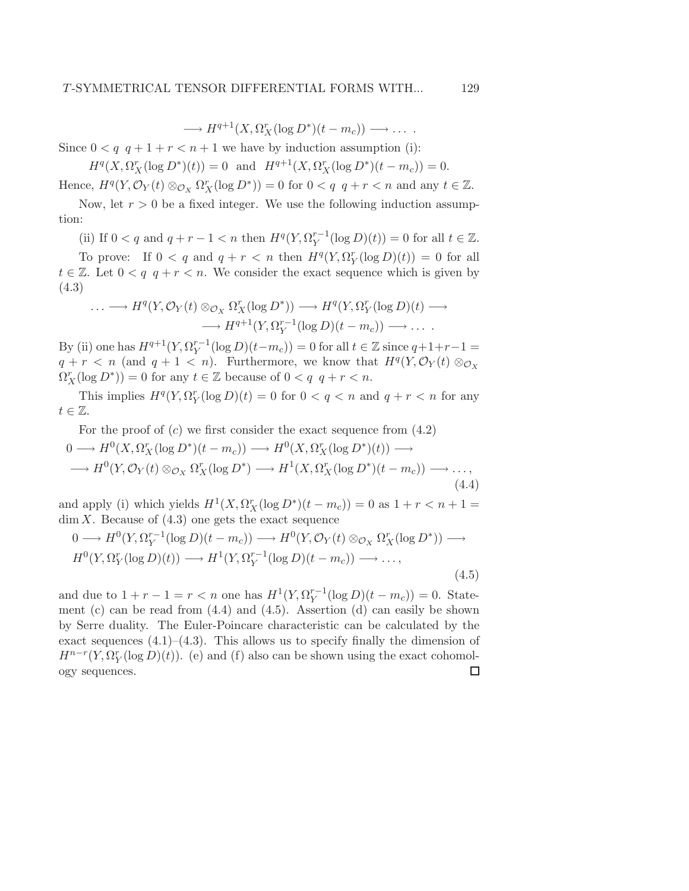$\longrightarrow H^{q+1}(X, \Omega_X^r(\log D^*)(t - m_c)) \longrightarrow \dots$ 

Since  $0 < q \, q + 1 + r < n + 1$  we have by induction assumption (i):

 $H^q(X, \Omega_X^r(\log D^*)(t)) = 0$  and  $H^{q+1}(X, \Omega_X^r(\log D^*)(t - m_c)) = 0.$ 

Hence,  $H^q(Y, \mathcal{O}_Y(t) \otimes_{\mathcal{O}_X} \Omega_X^r(\log D^*)) = 0$  for  $0 < q$   $q + r < n$  and any  $t \in \mathbb{Z}$ .

Now, let  $r > 0$  be a fixed integer. We use the following induction assumption:

(ii) If  $0 < q$  and  $q + r - 1 < n$  then  $H<sup>q</sup>(Y, \Omega_Y^{r-1}(\log D)(t)) = 0$  for all  $t \in \mathbb{Z}$ .

To prove: If  $0 < q$  and  $q + r < n$  then  $H<sup>q</sup>(Y, \Omega<sub>Y</sub><sup>r</sup>(\log D)(t)) = 0$  for all  $t \in \mathbb{Z}$ . Let  $0 < q \mid q + r < n$ . We consider the exact sequence which is given by (4.3)

$$
\cdots \longrightarrow H^{q}(Y, \mathcal{O}_{Y}(t) \otimes_{\mathcal{O}_{X}} \Omega_{X}^{r}(\log D^{*})) \longrightarrow H^{q}(Y, \Omega_{Y}^{r}(\log D)(t) \longrightarrow
$$

$$
\longrightarrow H^{q+1}(Y, \Omega_{Y}^{r-1}(\log D)(t - m_{c})) \longrightarrow \cdots
$$

By (ii) one has  $H^{q+1}(Y, \Omega_Y^{r-1}(\log D)(t-m_c)) = 0$  for all  $t \in \mathbb{Z}$  since  $q+1+r-1 = 0$  $q + r < n$  (and  $q + 1 < n$ ). Furthermore, we know that  $H<sup>q</sup>(Y, \mathcal{O}_Y(t) \otimes_{\mathcal{O}_X}$  $\Omega_X^r(\log D^*)) = 0$  for any  $t \in \mathbb{Z}$  because of  $0 < q \, q + r < n$ .

This implies  $H^q(Y, \Omega_Y^r(\log D)(t) = 0$  for  $0 < q < n$  and  $q + r < n$  for any  $t \in \mathbb{Z}$ .

For the proof of  $(c)$  we first consider the exact sequence from  $(4.2)$ 

$$
0 \longrightarrow H^{0}(X, \Omega_{X}^{r}(\log D^{*})(t - m_{c})) \longrightarrow H^{0}(X, \Omega_{X}^{r}(\log D^{*})(t)) \longrightarrow
$$
  

$$
\longrightarrow H^{0}(Y, \mathcal{O}_{Y}(t) \otimes_{\mathcal{O}_{X}} \Omega_{X}^{r}(\log D^{*}) \longrightarrow H^{1}(X, \Omega_{X}^{r}(\log D^{*})(t - m_{c})) \longrightarrow ... ,
$$
  
(4.4)

and apply (i) which yields  $H^1(X, \Omega_X^r(\log D^*)(t - m_c)) = 0$  as  $1 + r < n + 1 =$  $\dim X$ . Because of  $(4.3)$  one gets the exact sequence

$$
0 \longrightarrow H^{0}(Y, \Omega_{Y}^{r-1}(\log D)(t - m_{c})) \longrightarrow H^{0}(Y, \mathcal{O}_{Y}(t) \otimes_{\mathcal{O}_{X}} \Omega_{X}^{r}(\log D^{*})) \longrightarrow H^{0}(Y, \Omega_{Y}^{r}(\log D)(t)) \longrightarrow H^{1}(Y, \Omega_{Y}^{r-1}(\log D)(t - m_{c})) \longrightarrow \dots,
$$
\n(4.5)

and due to  $1 + r - 1 = r < n$  one has  $H^1(Y, \Omega_Y^{r-1}(\log D)(t - m_c)) = 0$ . Statement (c) can be read from  $(4.4)$  and  $(4.5)$ . Assertion  $(d)$  can easily be shown by Serre duality. The Euler-Poincare characteristic can be calculated by the exact sequences  $(4.1)$ – $(4.3)$ . This allows us to specify finally the dimension of  $H^{n-r}(Y, \Omega_Y^r(\log D)(t))$ . (e) and (f) also can be shown using the exact cohomology sequences. $\Box$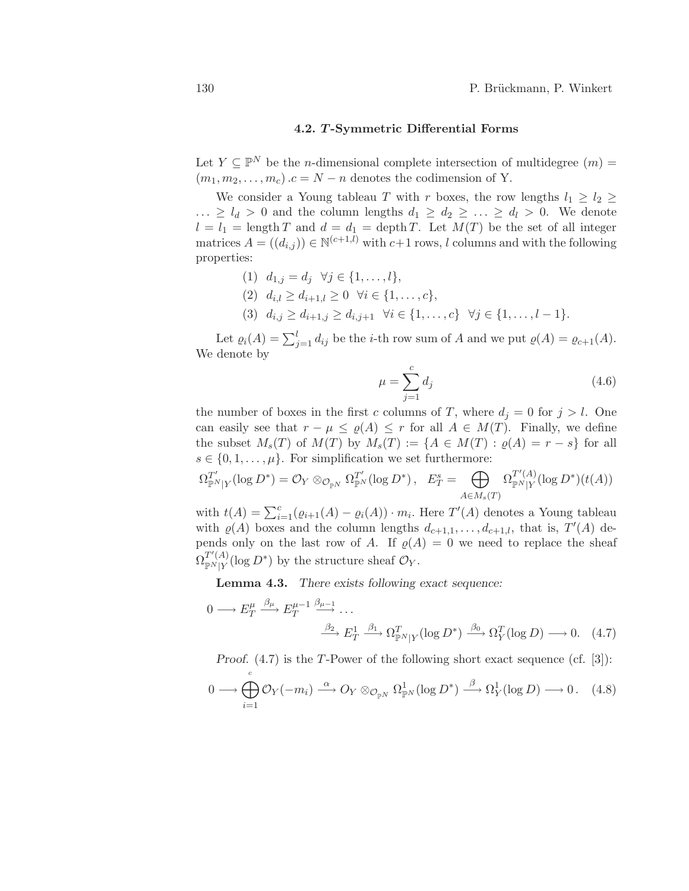# 4.2. T -Symmetric Differential Forms

Let  $Y \subseteq \mathbb{P}^N$  be the *n*-dimensional complete intersection of multidegree  $(m)$  =  $(m_1, m_2, \ldots, m_c)$ .c = N − n denotes the codimension of Y.

We consider a Young tableau T with r boxes, the row lengths  $l_1 \geq l_2 \geq$  $\ldots \geq l_d > 0$  and the column lengths  $d_1 \geq d_2 \geq \ldots \geq d_l > 0$ . We denote  $l = l_1 = \text{length } T$  and  $d = d_1 = \text{depth } T$ . Let  $M(T)$  be the set of all integer matrices  $A = ((d_{i,j})) \in \mathbb{N}^{(c+1,l)}$  with  $c+1$  rows, l columns and with the following properties:

- (1)  $d_{1,j} = d_j \ \forall j \in \{1, ..., l\},\$
- (2)  $d_{i,l} \geq d_{i+1,l} \geq 0 \ \forall i \in \{1,\ldots,c\},\$
- (3)  $d_{i,j} \geq d_{i+1,j} \geq d_{i,j+1}$   $\forall i \in \{1, \ldots, c\}$   $\forall j \in \{1, \ldots, l-1\}.$

Let  $\varrho_i(A) = \sum_{j=1}^l d_{ij}$  be the *i*-th row sum of A and we put  $\varrho(A) = \varrho_{c+1}(A)$ . We denote by

$$
\mu = \sum_{j=1}^{c} d_j \tag{4.6}
$$

the number of boxes in the first c columns of T, where  $d_j = 0$  for  $j > l$ . One can easily see that  $r - \mu \leq \varrho(A) \leq r$  for all  $A \in M(T)$ . Finally, we define the subset  $M_s(T)$  of  $M(T)$  by  $M_s(T) := \{A \in M(T) : \varrho(A) = r - s\}$  for all  $s \in \{0, 1, \ldots, \mu\}$ . For simplification we set furthermore:

$$
\Omega_{\mathbb{P}^N|Y}^{T'}(\log D^*) = \mathcal{O}_Y \otimes_{\mathcal{O}_{\mathbb{P}^N}} \Omega_{\mathbb{P}^N}^{T'}(\log D^*) , \quad E_T^s = \bigoplus_{A \in M_s(T)} \Omega_{\mathbb{P}^N|Y}^{T'(A)}(\log D^*)(t(A))
$$

with  $t(A) = \sum_{i=1}^{c} (\varrho_{i+1}(A) - \varrho_i(A)) \cdot m_i$ . Here  $T'(A)$  denotes a Young tableau with  $\varrho(A)$  boxes and the column lengths  $d_{c+1,1}, \ldots, d_{c+1,l}$ , that is,  $T'(A)$  depends only on the last row of A. If  $\varrho(A) = 0$  we need to replace the sheaf  $\Omega_{\rm \mathbb{P}^{\mathbb{N}}|\mathcal{V}}^{T'(A)}$  $T^{T(A)}_{\mathbb{P}^N|Y}(\log D^*)$  by the structure sheaf  $\mathcal{O}_Y$ .

Lemma 4.3. *There exists following exact sequence:*

$$
0 \longrightarrow E_T^{\mu} \xrightarrow{\beta_{\mu}} E_T^{\mu-1} \xrightarrow{\beta_{\mu-1}} \dots
$$

$$
\xrightarrow{\beta_2} E_T^1 \xrightarrow{\beta_1} \Omega_{\mathbb{P}^N|Y}^T (\log D^*) \xrightarrow{\beta_0} \Omega_Y^T (\log D) \longrightarrow 0. \quad (4.7)
$$

*Proof.* (4.7) is the T-Power of the following short exact sequence (cf. [3]):

$$
0 \longrightarrow \bigoplus_{i=1}^{c} \mathcal{O}_Y(-m_i) \stackrel{\alpha}{\longrightarrow} O_Y \otimes_{\mathcal{O}_{\mathbb{P}^N}} \Omega^1_{\mathbb{P}^N}(\log D^*) \stackrel{\beta}{\longrightarrow} \Omega^1_Y(\log D) \longrightarrow 0. \quad (4.8)
$$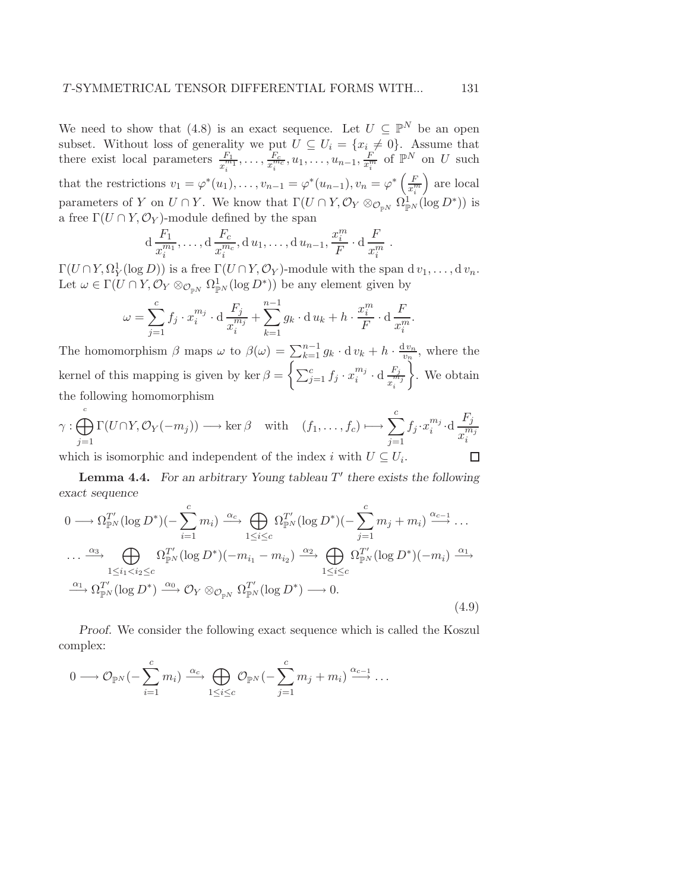We need to show that (4.8) is an exact sequence. Let  $U \subseteq \mathbb{P}^N$  be an open subset. Without loss of generality we put  $U \subseteq U_i = \{x_i \neq 0\}$ . Assume that there exist local parameters  $\frac{F_1}{x_i^{m_1}}, \ldots, \frac{F_c}{x_i^{m_c}}$  $\frac{F_c}{x_i^{m_c}}, u_1, \ldots, u_{n-1}, \frac{F}{x_i^m}$  of  $\mathbb{P}^N$  on U such that the restrictions  $v_1 = \varphi^*(u_1), \ldots, v_{n-1} = \varphi^*(u_{n-1}), v_n = \varphi^*\left(\frac{F}{x_i^m}\right)$  are local parameters of Y on  $U \cap Y$ . We know that  $\Gamma(U \cap Y, \mathcal{O}_Y \otimes_{\mathcal{O}_{\mathbb{P}^N}} \Omega^1_{\mathbb{P}^N}(\log D^*))$  is a free  $\Gamma(U \cap Y, \mathcal{O}_Y)$ -module defined by the span

$$
d \frac{F_1}{x_i^{m_1}}, \ldots, d \frac{F_c}{x_i^{m_c}}, d u_1, \ldots, d u_{n-1}, \frac{x_i^{m}}{F} \cdot d \frac{F}{x_i^{m}}
$$

.

.

 $\Gamma(U \cap Y, \Omega_Y^1(\log D))$  is a free  $\Gamma(U \cap Y, \mathcal{O}_Y)$ -module with the span d  $v_1, \ldots, v_n$ . Let  $\omega \in \Gamma(U \cap Y, \mathcal{O}_Y \otimes_{\mathcal{O}_{\mathbb{P}^N}} \Omega^1_{\mathbb{P}^N}(\log D^*))$  be any element given by

$$
\omega = \sum_{j=1}^{c} f_j \cdot x_i^{m_j} \cdot d \frac{F_j}{x_i^{m_j}} + \sum_{k=1}^{n-1} g_k \cdot d u_k + h \cdot \frac{x_i^{m}}{F} \cdot d \frac{F}{x_i^{m}}
$$

The homomorphism  $\beta$  maps  $\omega$  to  $\beta(\omega) = \sum_{k=1}^{n-1} g_k \cdot d v_k + h \cdot \frac{d v_n}{v_n}$  $\frac{1 v_n}{v_n}$ , where the kernel of this mapping is given by ker  $\beta = \left\{ \sum_{j=1}^{c} f_j \cdot x_i^{m_j} \right\}$  $\frac{m_j}{i} \cdot \mathrm{d} \frac{F_j}{r}$  $x_i^{\tilde{m}_j}$ <sup>"</sup> . We obtain the following homomorphism

$$
\gamma : \bigoplus_{j=1}^{c} \Gamma(U \cap Y, \mathcal{O}_Y(-m_j)) \longrightarrow \ker \beta \quad \text{with} \quad (f_1, \dots, f_c) \longmapsto \sum_{j=1}^{c} f_j \cdot x_i^{m_j} \cdot d \frac{F_j}{x_i^{m_j}}
$$
  
which is isomorphic and independent of the index *i* with  $U \subseteq U_i$ .

which is isomorphic and independent of the index i with  $U \subseteq U_i$ .

Lemma 4.4. For an arbitrary Young tableau T' there exists the following *exact sequence*

$$
0 \longrightarrow \Omega_{\mathbb{P}^N}^{T'}(\log D^*) \left( -\sum_{i=1}^c m_i \right) \xrightarrow{\alpha_c} \bigoplus_{1 \le i \le c} \Omega_{\mathbb{P}^N}^{T'}(\log D^*) \left( -\sum_{j=1}^c m_j + m_i \right) \xrightarrow{\alpha_{c-1}} \dots
$$
  
\n
$$
\dots \xrightarrow{\alpha_3} \bigoplus_{1 \le i_1 < i_2 \le c} \Omega_{\mathbb{P}^N}^{T'}(\log D^*) \left( -m_{i_1} - m_{i_2} \right) \xrightarrow{\alpha_2} \bigoplus_{1 \le i \le c} \Omega_{\mathbb{P}^N}^{T'}(\log D^*) \left( -m_i \right) \xrightarrow{\alpha_1} \Omega_{\mathbb{P}^N}^{T'}(\log D^*) \xrightarrow{\alpha_0} \mathcal{O}_Y \otimes_{\mathcal{O}_{\mathbb{P}^N}} \Omega_{\mathbb{P}^N}^{T'}(\log D^*) \longrightarrow 0.
$$
  
\n(4.9)

*Proof.* We consider the following exact sequence which is called the Koszul complex:

$$
0 \longrightarrow \mathcal{O}_{\mathbb{P}^N}(-\sum_{i=1}^c m_i) \xrightarrow{\alpha_c} \bigoplus_{1 \leq i \leq c} \mathcal{O}_{\mathbb{P}^N}(-\sum_{j=1}^c m_j + m_i) \xrightarrow{\alpha_{c-1}} \dots
$$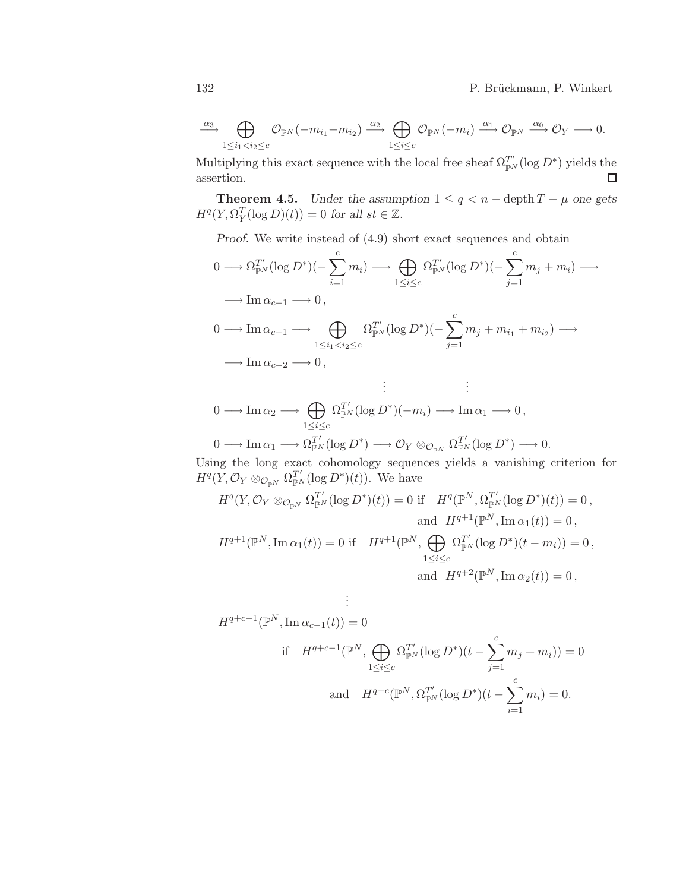132 P. Brückmann, P. Winkert

 $\mathcal{L}$ 

$$
\xrightarrow{\alpha_3} \bigoplus_{1 \leq i_1 < i_2 \leq c} \mathcal{O}_{\mathbb{P}^N}(-m_{i_1} - m_{i_2}) \xrightarrow{\alpha_2} \bigoplus_{1 \leq i \leq c} \mathcal{O}_{\mathbb{P}^N}(-m_i) \xrightarrow{\alpha_1} \mathcal{O}_{\mathbb{P}^N} \xrightarrow{\alpha_0} \mathcal{O}_Y \longrightarrow 0.
$$

Multiplying this exact sequence with the local free sheaf  $\Omega_{\mathbb{P}^N}^{T'}(\log D^*)$  yields the assertion.  $\Box$ 

**Theorem 4.5.** *Under the assumption*  $1 \leq q \leq n - \text{depth } T - \mu$  *one gets*  $H^q(Y, \Omega_Y^T(\log D)(t)) = 0$  for all  $st \in \mathbb{Z}$ .

*Proof.* We write instead of (4.9) short exact sequences and obtain

$$
0 \longrightarrow \Omega_{\mathbb{P}^N}^{T'}(\log D^*)\left(-\sum_{i=1}^c m_i\right) \longrightarrow \bigoplus_{1 \le i \le c} \Omega_{\mathbb{P}^N}^{T'}(\log D^*)\left(-\sum_{j=1}^c m_j + m_i\right) \longrightarrow
$$
  
\n
$$
\longrightarrow \operatorname{Im} \alpha_{c-1} \longrightarrow 0,
$$
  
\n
$$
0 \longrightarrow \operatorname{Im} \alpha_{c-1} \longrightarrow \bigoplus_{1 \le i_1 < i_2 \le c} \Omega_{\mathbb{P}^N}^{T'}(\log D^*)\left(-\sum_{j=1}^c m_j + m_{i_1} + m_{i_2}\right) \longrightarrow
$$
  
\n
$$
\longrightarrow \operatorname{Im} \alpha_{c-2} \longrightarrow 0,
$$
  
\n
$$
\vdots \qquad \vdots
$$

$$
0 \longrightarrow \text{Im}\,\alpha_2 \longrightarrow \bigoplus_{1 \leq i \leq c} \Omega_{\mathbb{P}^N}^{T'}(\log D^*)(-m_i) \longrightarrow \text{Im}\,\alpha_1 \longrightarrow 0,
$$
  

$$
0 \longrightarrow \text{Im}\,\alpha_1 \longrightarrow \Omega_{\mathbb{P}^N}^{T'}(\log D^*) \longrightarrow \mathcal{O}_Y \otimes_{\mathcal{O}_{\mathbb{P}^N}} \Omega_{\mathbb{P}^N}^{T'}(\log D^*) \longrightarrow 0.
$$

Using the long exact cohomology sequences yields a vanishing criterion for 
$$
H^q(Y, \mathcal{O}_Y \otimes_{\mathcal{O}_{\mathbb{P}^N}} \Omega_{\mathbb{P}^N}^T(\log D^*)(t))
$$
. We have

$$
H^{q}(Y, \mathcal{O}_{Y} \otimes_{\mathcal{O}_{\mathbb{P}^{N}}} \Omega_{\mathbb{P}^{N}}^{T'}(\log D^{*})(t)) = 0 \text{ if } H^{q}(\mathbb{P}^{N}, \Omega_{\mathbb{P}^{N}}^{T'}(\log D^{*})(t)) = 0,
$$
  
and 
$$
H^{q+1}(\mathbb{P}^{N}, \operatorname{Im} \alpha_{1}(t)) = 0,
$$

$$
H^{q+1}(\mathbb{P}^{N}, \operatorname{Im} \alpha_{1}(t)) = 0 \text{ if } H^{q+1}(\mathbb{P}^{N}, \bigoplus_{1 \leq i \leq c} \Omega_{\mathbb{P}^{N}}^{T'}(\log D^{*})(t - m_{i})) = 0,
$$

$$
\text{and } H^{q+2}(\mathbb{P}^{N}, \operatorname{Im} \alpha_{2}(t)) = 0,
$$

$$
\vdots
$$
\n
$$
H^{q+c-1}(\mathbb{P}^N, \text{Im }\alpha_{c-1}(t)) = 0
$$
\n
$$
\text{if } H^{q+c-1}(\mathbb{P}^N, \bigoplus_{1 \le i \le c} \Omega_{\mathbb{P}^N}^{T'}(\log D^*)(t - \sum_{j=1}^c m_j + m_i)) = 0
$$
\n
$$
\text{and } H^{q+c}(\mathbb{P}^N, \Omega_{\mathbb{P}^N}^{T'}(\log D^*)(t - \sum_{i=1}^c m_i) = 0.
$$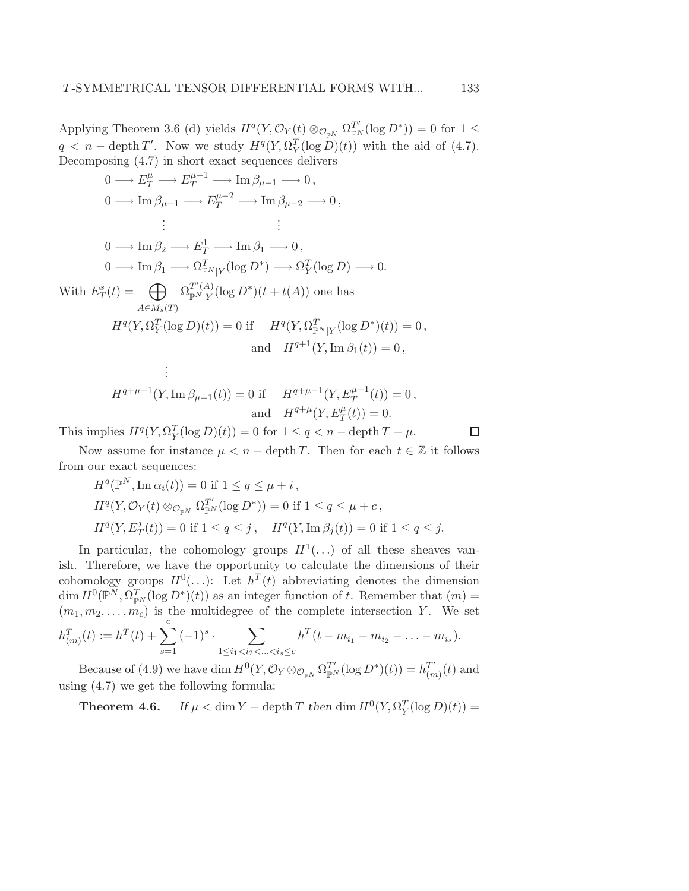Applying Theorem 3.6 (d) yields  $H^q(Y, \mathcal{O}_Y(t) \otimes_{\mathcal{O}_{\mathbb{P}^N}} \Omega_{\mathbb{P}^N}^{T'}(\log D^*)) = 0$  for  $1 \leq$  $q < n - \operatorname{depth} T'$ . Now we study  $H^q(Y, \Omega_Y^T(\log D)(t))$  with the aid of (4.7). Decomposing (4.7) in short exact sequences delivers

$$
0 \longrightarrow E_T^{\mu} \longrightarrow E_T^{\mu-1} \longrightarrow \text{Im } \beta_{\mu-1} \longrightarrow 0,
$$
  
\n
$$
0 \longrightarrow \text{Im } \beta_{\mu-1} \longrightarrow E_T^{\mu-2} \longrightarrow \text{Im } \beta_{\mu-2} \longrightarrow 0,
$$
  
\n
$$
\vdots \qquad \qquad \vdots
$$
  
\n
$$
0 \longrightarrow \text{Im } \beta_2 \longrightarrow E_T^1 \longrightarrow \text{Im } \beta_1 \longrightarrow 0,
$$
  
\n
$$
0 \longrightarrow \text{Im } \beta_1 \longrightarrow \Omega_{\mathbb{P}^N|Y}^T(\log D^*) \longrightarrow \Omega_Y^T(\log D) \longrightarrow 0.
$$
  
\nWith  $E_T^s(t) = \bigoplus_{A \in M_s(T)} \Omega_{\mathbb{P}^N|Y}^{T(A)}(\log D^*)(t + t(A))$  one has  
\n
$$
{}_{A \in M_s(T)}^{A \in M_s(T)}
$$
  
\n
$$
H^q(Y, \Omega_Y^T(\log D)(t)) = 0 \text{ if } H^q(Y, \Omega_{\mathbb{P}^N|Y}^T(\log D^*)(t)) = 0,
$$
  
\nand  $H^{q+1}(Y, \text{Im } \beta_1(t)) = 0,$   
\n
$$
\vdots
$$

$$
H^{q+\mu-1}(Y, \operatorname{Im} \beta_{\mu-1}(t)) = 0 \text{ if } H^{q+\mu-1}(Y, E_T^{\mu-1}(t)) = 0,
$$
  
and 
$$
H^{q+\mu}(Y, E_T^{\mu}(t)) = 0.
$$

This implies  $H^q(Y, \Omega_Y^T(\log D)(t)) = 0$  for  $1 \le q < n - \text{depth } T - \mu$ .

Now assume for instance  $\mu < n$  – depth T. Then for each  $t \in \mathbb{Z}$  it follows from our exact sequences:

 $\Box$ 

$$
H^{q}(\mathbb{P}^{N}, \operatorname{Im} \alpha_{i}(t)) = 0 \text{ if } 1 \leq q \leq \mu + i,
$$
  
\n
$$
H^{q}(Y, \mathcal{O}_{Y}(t) \otimes_{\mathcal{O}_{\mathbb{P}^{N}}} \Omega_{\mathbb{P}^{N}}^{T'}(\log D^{*})) = 0 \text{ if } 1 \leq q \leq \mu + c,
$$
  
\n
$$
H^{q}(Y, E^{j}_{T}(t)) = 0 \text{ if } 1 \leq q \leq j, \quad H^{q}(Y, \operatorname{Im} \beta_{j}(t)) = 0 \text{ if } 1 \leq q \leq j.
$$

In particular, the cohomology groups  $H^1(\ldots)$  of all these sheaves vanish. Therefore, we have the opportunity to calculate the dimensions of their cohomology groups  $H^0(\ldots)$ : Let  $h^T(t)$  abbreviating denotes the dimension  $\dim H^0(\mathbb{P}^N, \Omega^T_{\mathbb{P}^N}(\log D^*)(t))$  as an integer function of t. Remember that  $(m)$  =  $(m_1, m_2, \ldots, m_c)$  is the multidegree of the complete intersection Y. We set  $T_{(m)}(t) := h^{T}(t) + \sum_{k=1}^{c}$  $\frac{1}{\sqrt{2}}$  $\overline{\phantom{0}}$  $\overline{T}$ 

$$
h_{(m)}^{T}(t) := h^{T}(t) + \sum_{s=1} (-1)^{s} \cdot \sum_{1 \le i_1 < i_2 < \ldots < i_s \le c} h^{T}(t - m_{i_1} - m_{i_2} - \ldots - m_{i_s}).
$$

Because of (4.9) we have dim  $H^0(Y, \mathcal{O}_Y \otimes_{\mathcal{O}_{\mathbb{P}^N}} \Omega_{\mathbb{P}^N}^{T'}(\log D^*)(t)) = h_{(n)}^{T'}$  $_{(m)}^{T^r}(t)$  and using (4.7) we get the following formula:

**Theorem 4.6.** *If*  $\mu < \dim Y - \operatorname{depth} T$  *then*  $\dim H^0(Y, \Omega_Y^T(\log D)(t)) =$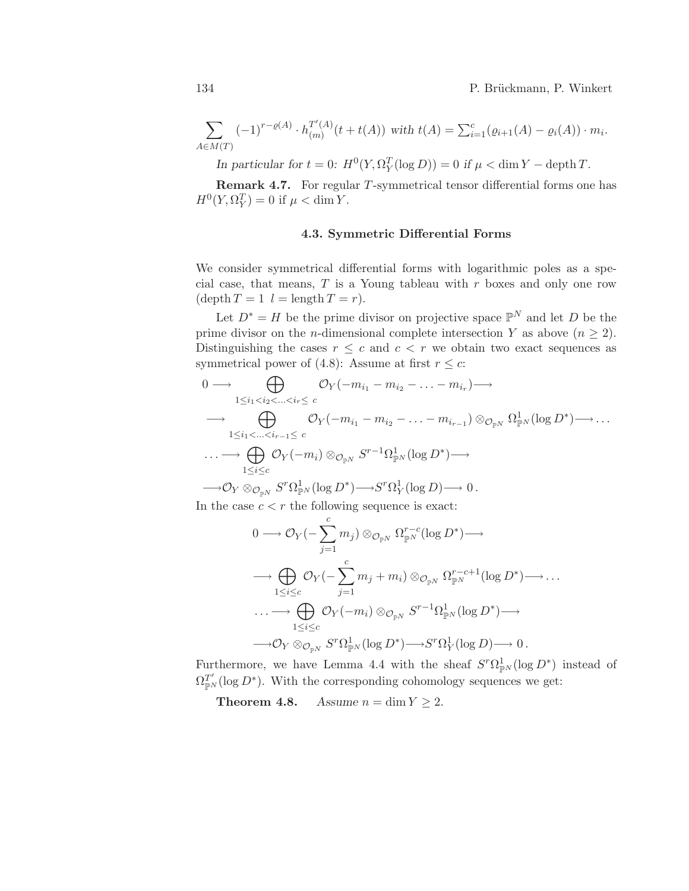$$
\sum_{A \in M(T)} (-1)^{r-\varrho(A)} \cdot h_{(m)}^{T'(A)}(t+t(A)) \text{ with } t(A) = \sum_{i=1}^{c} (\varrho_{i+1}(A) - \varrho_i(A)) \cdot m_i.
$$

*In particular for*  $t = 0$ :  $H^0(Y, \Omega_Y^T(\log D)) = 0$  *if*  $\mu < \dim Y - \text{depth } T$ .

Remark 4.7. For regular T-symmetrical tensor differential forms one has  $H^0(Y, \Omega_Y^T) = 0$  if  $\mu < \dim Y$ .

# 4.3. Symmetric Differential Forms

We consider symmetrical differential forms with logarithmic poles as a special case, that means,  $T$  is a Young tableau with  $r$  boxes and only one row  $(\operatorname{depth} T = 1 \ \ l = \operatorname{length} T = r).$ 

Let  $D^* = H$  be the prime divisor on projective space  $\mathbb{P}^N$  and let D be the prime divisor on the *n*-dimensional complete intersection Y as above  $(n \geq 2)$ . Distinguishing the cases  $r \leq c$  and  $c < r$  we obtain two exact sequences as symmetrical power of (4.8): Assume at first  $r \leq c$ :

$$
0 \longrightarrow \bigoplus_{1 \leq i_1 < i_2 < \ldots < i_r \leq c} \mathcal{O}_Y(-m_{i_1} - m_{i_2} - \ldots - m_{i_r}) \longrightarrow
$$
\n
$$
\longrightarrow \bigoplus_{1 \leq i_1 < \ldots < i_{r-1} \leq c} \mathcal{O}_Y(-m_{i_1} - m_{i_2} - \ldots - m_{i_{r-1}}) \otimes_{\mathcal{O}_{\mathbb{P}^N}} \Omega_{\mathbb{P}^N}^1(\log D^*) \longrightarrow \ldots
$$
\n
$$
\longrightarrow \bigoplus_{1 \leq i \leq c} \mathcal{O}_Y(-m_i) \otimes_{\mathcal{O}_{\mathbb{P}^N}} S^{r-1} \Omega_{\mathbb{P}^N}^1(\log D^*) \longrightarrow
$$
\n
$$
\longrightarrow \mathcal{O}_Y \otimes_{\mathcal{O}_{\mathbb{P}^N}} S^r \Omega_{\mathbb{P}^N}^1(\log D^*) \longrightarrow S^r \Omega_Y^1(\log D) \longrightarrow 0.
$$

In the case  $c < r$  the following sequence is exact:

$$
0 \longrightarrow \mathcal{O}_Y(-\sum_{j=1}^c m_j) \otimes_{\mathcal{O}_{\mathbb{P}^N}} \Omega_{\mathbb{P}^N}^{r-c}(\log D^*) \longrightarrow
$$
  

$$
\longrightarrow \bigoplus_{1 \leq i \leq c} \mathcal{O}_Y(-\sum_{j=1}^c m_j + m_i) \otimes_{\mathcal{O}_{\mathbb{P}^N}} \Omega_{\mathbb{P}^N}^{r-c+1}(\log D^*) \longrightarrow \dots
$$
  

$$
\longrightarrow \bigoplus_{1 \leq i \leq c} \mathcal{O}_Y(-m_i) \otimes_{\mathcal{O}_{\mathbb{P}^N}} S^{r-1} \Omega_{\mathbb{P}^N}^1(\log D^*) \longrightarrow
$$
  

$$
\longrightarrow \mathcal{O}_Y \otimes_{\mathcal{O}_{\mathbb{P}^N}} S^r \Omega_{\mathbb{P}^N}^1(\log D^*) \longrightarrow S^r \Omega_Y^1(\log D) \longrightarrow 0.
$$

Furthermore, we have Lemma 4.4 with the sheaf  $S^r \Omega_{\mathbb{P}^N}^1(\log D^*)$  instead of  $\Omega_{\mathbb{P}^N}^{T'}(\log D^*)$ . With the corresponding cohomology sequences we get:

**Theorem 4.8.** *Assume*  $n = \dim Y \ge 2$ *.*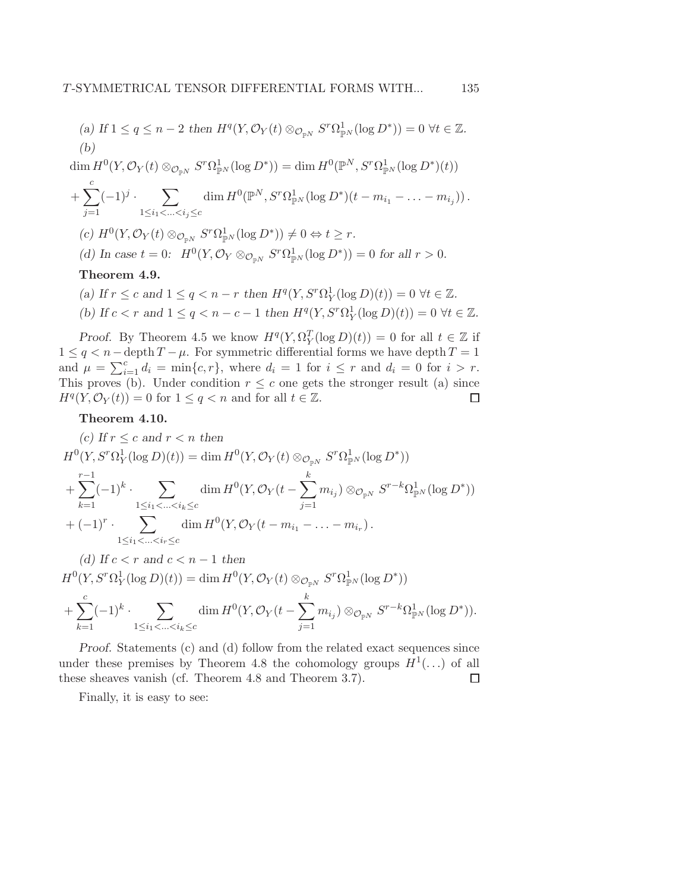(a) If 
$$
1 \le q \le n-2
$$
 then  $H^q(Y, \mathcal{O}_Y(t) \otimes_{\mathcal{O}_{\mathbb{P}^N}} S^r \Omega^1_{\mathbb{P}^N}(\log D^*)) = 0 \ \forall t \in \mathbb{Z}$ .  
(b)

 $\dim H^0(Y, \mathcal{O}_Y(t) \otimes_{\mathcal{O}_{\mathbb{P}^N}} S^r \Omega^1_{\mathbb{P}^N}(\log D^*)) = \dim H^0(\mathbb{P}^N, S^r \Omega^1_{\mathbb{P}^N}(\log D^*)(t))$ 

+ 
$$
\sum_{j=1}^{c} (-1)^j \cdot \sum_{1 \le i_1 < ... < i_j \le c} \dim H^0(\mathbb{P}^N, S^r \Omega_{\mathbb{P}^N}^1(\log D^*)(t - m_{i_1} - ... - m_{i_j}))
$$
.

- $(c) H^0(Y, \mathcal{O}_Y(t) \otimes_{\mathcal{O}_{\mathbb{P}^N}} S^r \Omega^1_{\mathbb{P}^N}(\log D^*)) \neq 0 \Leftrightarrow t \geq r.$
- *(d)* In case  $t = 0$ :  $H^0(Y, \mathcal{O}_Y \otimes_{\mathcal{O}_{\mathbb{P}^N}} S^r \Omega^1_{\mathbb{P}^N}(\log D^*)) = 0$  for all  $r > 0$ .

### Theorem 4.9.

*(a)* If  $r \le c$  and  $1 \le q < n - r$  then  $H^q(Y, S^r \Omega_Y^1(\log D)(t)) = 0 \ \forall t \in \mathbb{Z}$ . *(b)* If  $c < r$  and  $1 \le q < n - c - 1$  then  $H^q(Y, S^r \Omega_Y^1(\log D)(t)) = 0 \ \forall t \in \mathbb{Z}$ .

*Proof.* By Theorem 4.5 we know  $H^q(Y, \Omega_Y^T(\log D)(t)) = 0$  for all  $t \in \mathbb{Z}$  if  $1 \leq q < n$  – depth  $T - \mu$ . For symmetric differential forms we have depth  $T = 1$ and  $\mu = \sum_{i=1}^{c} d_i = \min\{c, r\}$ , where  $d_i = 1$  for  $i \leq r$  and  $d_i = 0$  for  $i > r$ . This proves (b). Under condition  $r \leq c$  one gets the stronger result (a) since  $H<sup>q</sup>(Y, \mathcal{O}_Y(t)) = 0$  for  $1 \leq q < n$  and for all  $t \in \mathbb{Z}$ .  $\Box$ 

#### Theorem 4.10.

(c) If 
$$
r \leq c
$$
 and  $r < n$  then  
\n
$$
H^{0}(Y, S^{r}\Omega_{Y}^{1}(\log D)(t)) = \dim H^{0}(Y, \mathcal{O}_{Y}(t) \otimes_{\mathcal{O}_{\mathbb{P}^{N}}} S^{r}\Omega_{\mathbb{P}^{N}}^{1}(\log D^{*}))
$$
\n
$$
+ \sum_{k=1}^{r-1} (-1)^{k} \cdot \sum_{1 \leq i_{1} < ... < i_{k} \leq c} \dim H^{0}(Y, \mathcal{O}_{Y}(t - \sum_{j=1}^{k} m_{i_{j}}) \otimes_{\mathcal{O}_{\mathbb{P}^{N}}} S^{r-k}\Omega_{\mathbb{P}^{N}}^{1}(\log D^{*}))
$$
\n
$$
+ (-1)^{r} \cdot \sum_{1 \leq i_{1} < ... < i_{r} \leq c} \dim H^{0}(Y, \mathcal{O}_{Y}(t - m_{i_{1}} - ... - m_{i_{r}}).
$$

*(d)* If  $c < r$  and  $c < n - 1$  then  $H^0(Y, S^r \Omega_Y^1(\log D)(t)) = \dim H^0(Y, \mathcal{O}_Y(t) \otimes_{\mathcal{O}_{\mathbb{P}^N}} S^r \Omega_{\mathbb{P}^N}^1(\log D^*))$  $+\sum_{i=1}^{c}$  $k=1$  $(-1)^k$   $\sum$  $1 \leq i_1 < ... < i_k \leq c$  $\dim H^0(Y,\mathcal{O}_Y(t-\sum^k$  $j=1$  $m_{i_j}$ ) ⊗ $_{\mathcal{O}_{\mathbb{P}^N}} S^{r-k} \Omega^1_{\mathbb{P}^N}({\rm log}\,D^*)).$ 

*Proof.* Statements (c) and (d) follow from the related exact sequences since under these premises by Theorem 4.8 the cohomology groups  $H^1(\ldots)$  of all these sheaves vanish (cf. Theorem 4.8 and Theorem 3.7).  $\Box$ 

Finally, it is easy to see: